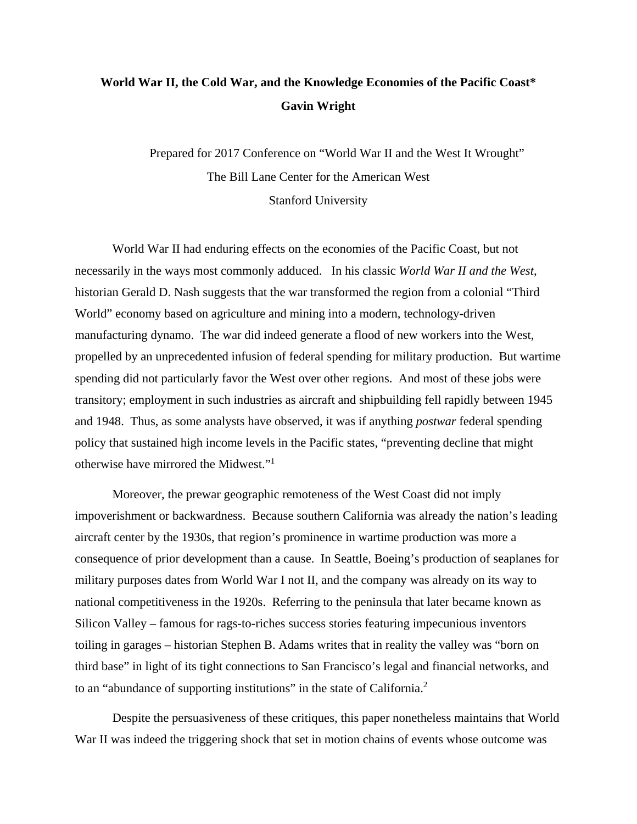# **World War II, the Cold War, and the Knowledge Economies of the Pacific Coast\* Gavin Wright**

Prepared for 2017 Conference on "World War II and the West It Wrought" The Bill Lane Center for the American West Stanford University

World War II had enduring effects on the economies of the Pacific Coast, but not necessarily in the ways most commonly adduced. In his classic *World War II and the West*, historian Gerald D. Nash suggests that the war transformed the region from a colonial "Third World" economy based on agriculture and mining into a modern, technology-driven manufacturing dynamo. The war did indeed generate a flood of new workers into the West, propelled by an unprecedented infusion of federal spending for military production. But wartime spending did not particularly favor the West over other regions. And most of these jobs were transitory; employment in such industries as aircraft and shipbuilding fell rapidly between 1945 and 1948. Thus, as some analysts have observed, it was if anything *postwar* federal spending policy that sustained high income levels in the Pacific states, "preventing decline that might otherwise have mirrored the Midwest."1

Moreover, the prewar geographic remoteness of the West Coast did not imply impoverishment or backwardness. Because southern California was already the nation's leading aircraft center by the 1930s, that region's prominence in wartime production was more a consequence of prior development than a cause. In Seattle, Boeing's production of seaplanes for military purposes dates from World War I not II, and the company was already on its way to national competitiveness in the 1920s. Referring to the peninsula that later became known as Silicon Valley – famous for rags-to-riches success stories featuring impecunious inventors toiling in garages – historian Stephen B. Adams writes that in reality the valley was "born on third base" in light of its tight connections to San Francisco's legal and financial networks, and to an "abundance of supporting institutions" in the state of California.<sup>2</sup>

Despite the persuasiveness of these critiques, this paper nonetheless maintains that World War II was indeed the triggering shock that set in motion chains of events whose outcome was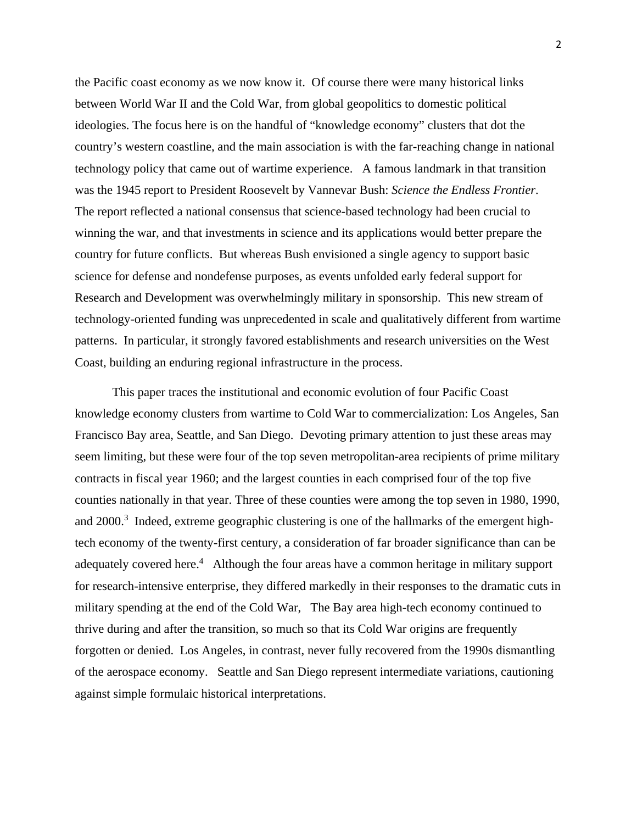the Pacific coast economy as we now know it. Of course there were many historical links between World War II and the Cold War, from global geopolitics to domestic political ideologies. The focus here is on the handful of "knowledge economy" clusters that dot the country's western coastline, and the main association is with the far-reaching change in national technology policy that came out of wartime experience. A famous landmark in that transition was the 1945 report to President Roosevelt by Vannevar Bush: *Science the Endless Frontier*. The report reflected a national consensus that science-based technology had been crucial to winning the war, and that investments in science and its applications would better prepare the country for future conflicts. But whereas Bush envisioned a single agency to support basic science for defense and nondefense purposes, as events unfolded early federal support for Research and Development was overwhelmingly military in sponsorship. This new stream of technology-oriented funding was unprecedented in scale and qualitatively different from wartime patterns. In particular, it strongly favored establishments and research universities on the West Coast, building an enduring regional infrastructure in the process.

This paper traces the institutional and economic evolution of four Pacific Coast knowledge economy clusters from wartime to Cold War to commercialization: Los Angeles, San Francisco Bay area, Seattle, and San Diego. Devoting primary attention to just these areas may seem limiting, but these were four of the top seven metropolitan-area recipients of prime military contracts in fiscal year 1960; and the largest counties in each comprised four of the top five counties nationally in that year. Three of these counties were among the top seven in 1980, 1990, and  $2000$ <sup>3</sup> Indeed, extreme geographic clustering is one of the hallmarks of the emergent hightech economy of the twenty-first century, a consideration of far broader significance than can be adequately covered here.<sup>4</sup> Although the four areas have a common heritage in military support for research-intensive enterprise, they differed markedly in their responses to the dramatic cuts in military spending at the end of the Cold War, The Bay area high-tech economy continued to thrive during and after the transition, so much so that its Cold War origins are frequently forgotten or denied. Los Angeles, in contrast, never fully recovered from the 1990s dismantling of the aerospace economy. Seattle and San Diego represent intermediate variations, cautioning against simple formulaic historical interpretations.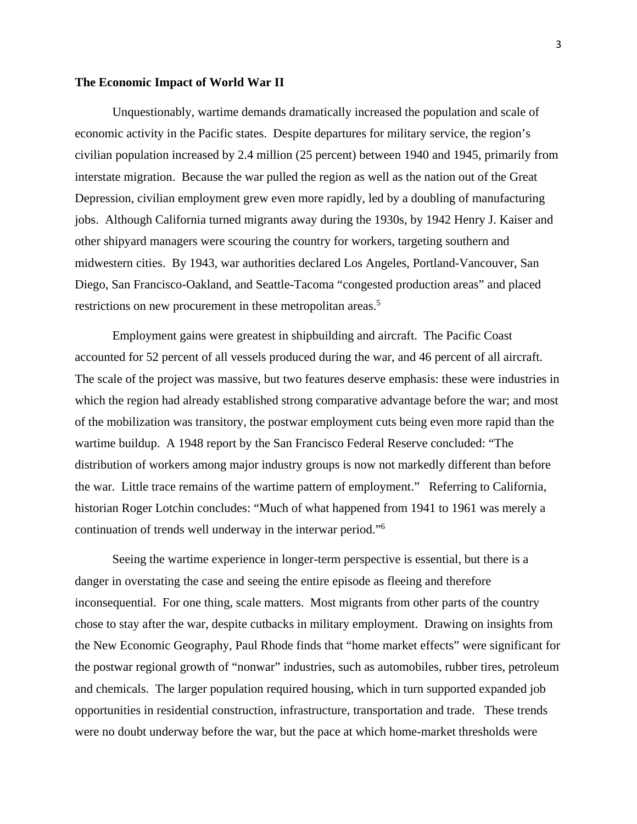#### **The Economic Impact of World War II**

Unquestionably, wartime demands dramatically increased the population and scale of economic activity in the Pacific states. Despite departures for military service, the region's civilian population increased by 2.4 million (25 percent) between 1940 and 1945, primarily from interstate migration. Because the war pulled the region as well as the nation out of the Great Depression, civilian employment grew even more rapidly, led by a doubling of manufacturing jobs. Although California turned migrants away during the 1930s, by 1942 Henry J. Kaiser and other shipyard managers were scouring the country for workers, targeting southern and midwestern cities. By 1943, war authorities declared Los Angeles, Portland-Vancouver, San Diego, San Francisco-Oakland, and Seattle-Tacoma "congested production areas" and placed restrictions on new procurement in these metropolitan areas.<sup>5</sup>

 Employment gains were greatest in shipbuilding and aircraft. The Pacific Coast accounted for 52 percent of all vessels produced during the war, and 46 percent of all aircraft. The scale of the project was massive, but two features deserve emphasis: these were industries in which the region had already established strong comparative advantage before the war; and most of the mobilization was transitory, the postwar employment cuts being even more rapid than the wartime buildup. A 1948 report by the San Francisco Federal Reserve concluded: "The distribution of workers among major industry groups is now not markedly different than before the war. Little trace remains of the wartime pattern of employment." Referring to California, historian Roger Lotchin concludes: "Much of what happened from 1941 to 1961 was merely a continuation of trends well underway in the interwar period."6

 Seeing the wartime experience in longer-term perspective is essential, but there is a danger in overstating the case and seeing the entire episode as fleeing and therefore inconsequential. For one thing, scale matters. Most migrants from other parts of the country chose to stay after the war, despite cutbacks in military employment. Drawing on insights from the New Economic Geography, Paul Rhode finds that "home market effects" were significant for the postwar regional growth of "nonwar" industries, such as automobiles, rubber tires, petroleum and chemicals. The larger population required housing, which in turn supported expanded job opportunities in residential construction, infrastructure, transportation and trade. These trends were no doubt underway before the war, but the pace at which home-market thresholds were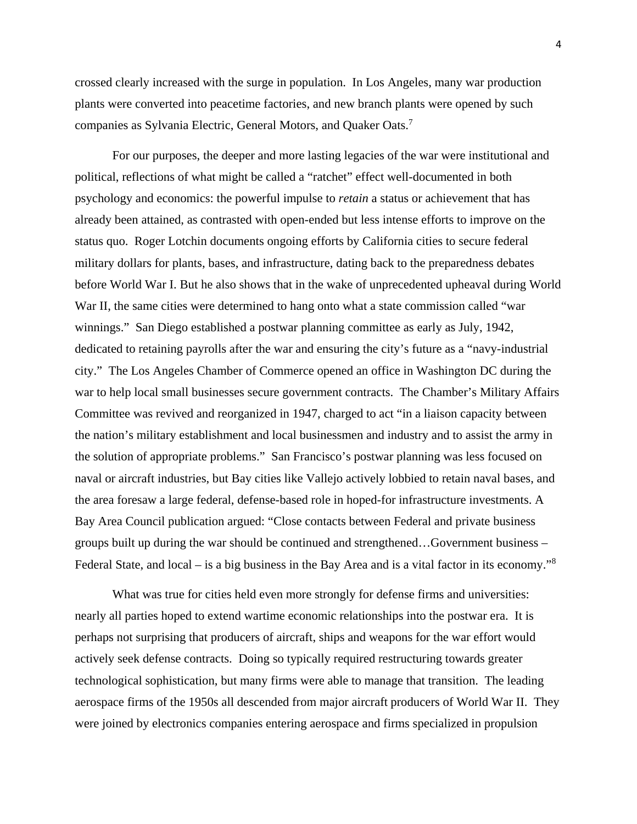crossed clearly increased with the surge in population. In Los Angeles, many war production plants were converted into peacetime factories, and new branch plants were opened by such companies as Sylvania Electric, General Motors, and Quaker Oats.<sup>7</sup>

For our purposes, the deeper and more lasting legacies of the war were institutional and political, reflections of what might be called a "ratchet" effect well-documented in both psychology and economics: the powerful impulse to *retain* a status or achievement that has already been attained, as contrasted with open-ended but less intense efforts to improve on the status quo. Roger Lotchin documents ongoing efforts by California cities to secure federal military dollars for plants, bases, and infrastructure, dating back to the preparedness debates before World War I. But he also shows that in the wake of unprecedented upheaval during World War II, the same cities were determined to hang onto what a state commission called "war winnings." San Diego established a postwar planning committee as early as July, 1942, dedicated to retaining payrolls after the war and ensuring the city's future as a "navy-industrial city." The Los Angeles Chamber of Commerce opened an office in Washington DC during the war to help local small businesses secure government contracts. The Chamber's Military Affairs Committee was revived and reorganized in 1947, charged to act "in a liaison capacity between the nation's military establishment and local businessmen and industry and to assist the army in the solution of appropriate problems." San Francisco's postwar planning was less focused on naval or aircraft industries, but Bay cities like Vallejo actively lobbied to retain naval bases, and the area foresaw a large federal, defense-based role in hoped-for infrastructure investments. A Bay Area Council publication argued: "Close contacts between Federal and private business groups built up during the war should be continued and strengthened…Government business – Federal State, and local – is a big business in the Bay Area and is a vital factor in its economy."<sup>8</sup>

 What was true for cities held even more strongly for defense firms and universities: nearly all parties hoped to extend wartime economic relationships into the postwar era. It is perhaps not surprising that producers of aircraft, ships and weapons for the war effort would actively seek defense contracts. Doing so typically required restructuring towards greater technological sophistication, but many firms were able to manage that transition. The leading aerospace firms of the 1950s all descended from major aircraft producers of World War II. They were joined by electronics companies entering aerospace and firms specialized in propulsion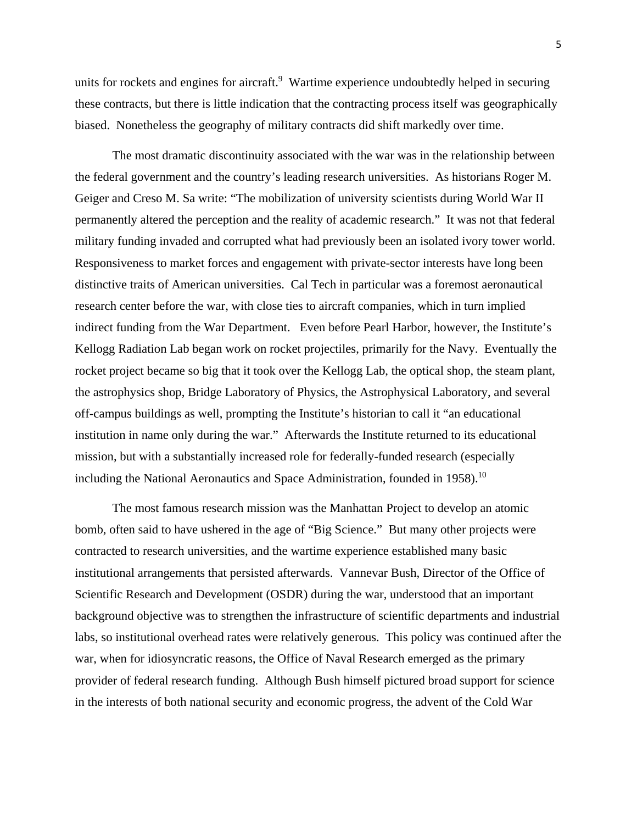units for rockets and engines for aircraft.<sup>9</sup> Wartime experience undoubtedly helped in securing these contracts, but there is little indication that the contracting process itself was geographically biased. Nonetheless the geography of military contracts did shift markedly over time.

 The most dramatic discontinuity associated with the war was in the relationship between the federal government and the country's leading research universities. As historians Roger M. Geiger and Creso M. Sa write: "The mobilization of university scientists during World War II permanently altered the perception and the reality of academic research." It was not that federal military funding invaded and corrupted what had previously been an isolated ivory tower world. Responsiveness to market forces and engagement with private-sector interests have long been distinctive traits of American universities. Cal Tech in particular was a foremost aeronautical research center before the war, with close ties to aircraft companies, which in turn implied indirect funding from the War Department. Even before Pearl Harbor, however, the Institute's Kellogg Radiation Lab began work on rocket projectiles, primarily for the Navy. Eventually the rocket project became so big that it took over the Kellogg Lab, the optical shop, the steam plant, the astrophysics shop, Bridge Laboratory of Physics, the Astrophysical Laboratory, and several off-campus buildings as well, prompting the Institute's historian to call it "an educational institution in name only during the war." Afterwards the Institute returned to its educational mission, but with a substantially increased role for federally-funded research (especially including the National Aeronautics and Space Administration, founded in 1958).<sup>10</sup>

The most famous research mission was the Manhattan Project to develop an atomic bomb, often said to have ushered in the age of "Big Science." But many other projects were contracted to research universities, and the wartime experience established many basic institutional arrangements that persisted afterwards. Vannevar Bush, Director of the Office of Scientific Research and Development (OSDR) during the war, understood that an important background objective was to strengthen the infrastructure of scientific departments and industrial labs, so institutional overhead rates were relatively generous. This policy was continued after the war, when for idiosyncratic reasons, the Office of Naval Research emerged as the primary provider of federal research funding. Although Bush himself pictured broad support for science in the interests of both national security and economic progress, the advent of the Cold War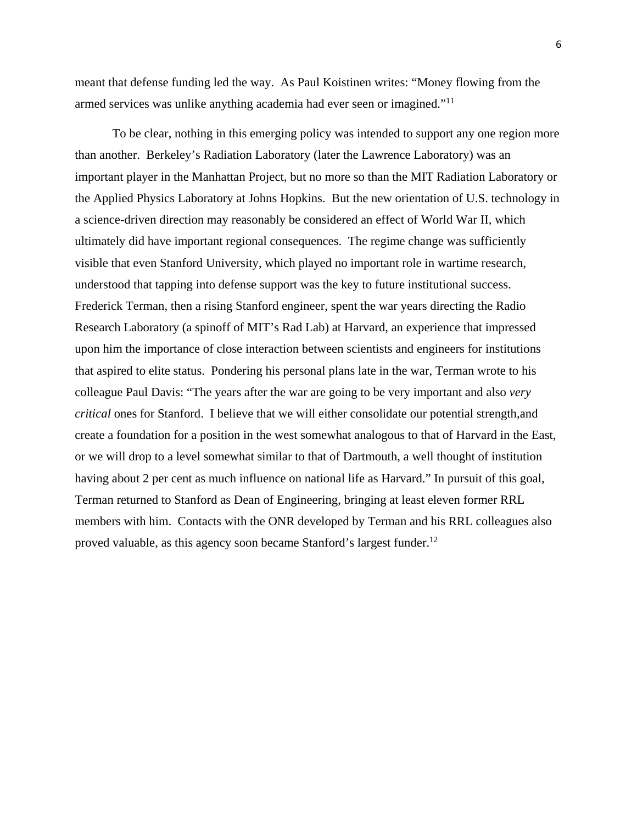meant that defense funding led the way. As Paul Koistinen writes: "Money flowing from the armed services was unlike anything academia had ever seen or imagined."11

To be clear, nothing in this emerging policy was intended to support any one region more than another. Berkeley's Radiation Laboratory (later the Lawrence Laboratory) was an important player in the Manhattan Project, but no more so than the MIT Radiation Laboratory or the Applied Physics Laboratory at Johns Hopkins. But the new orientation of U.S. technology in a science-driven direction may reasonably be considered an effect of World War II, which ultimately did have important regional consequences. The regime change was sufficiently visible that even Stanford University, which played no important role in wartime research, understood that tapping into defense support was the key to future institutional success. Frederick Terman, then a rising Stanford engineer, spent the war years directing the Radio Research Laboratory (a spinoff of MIT's Rad Lab) at Harvard, an experience that impressed upon him the importance of close interaction between scientists and engineers for institutions that aspired to elite status. Pondering his personal plans late in the war, Terman wrote to his colleague Paul Davis: "The years after the war are going to be very important and also *very critical* ones for Stanford. I believe that we will either consolidate our potential strength,and create a foundation for a position in the west somewhat analogous to that of Harvard in the East, or we will drop to a level somewhat similar to that of Dartmouth, a well thought of institution having about 2 per cent as much influence on national life as Harvard." In pursuit of this goal, Terman returned to Stanford as Dean of Engineering, bringing at least eleven former RRL members with him. Contacts with the ONR developed by Terman and his RRL colleagues also proved valuable, as this agency soon became Stanford's largest funder.<sup>12</sup>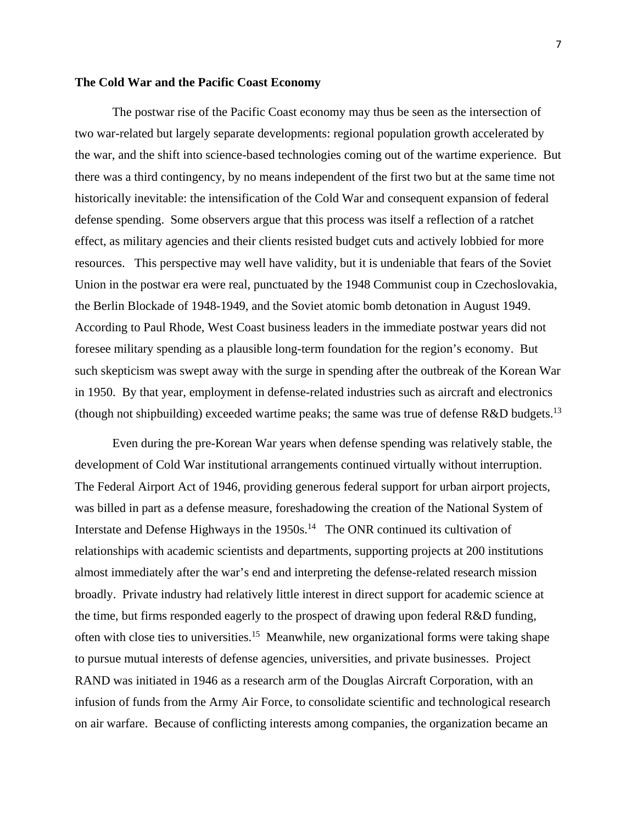#### **The Cold War and the Pacific Coast Economy**

The postwar rise of the Pacific Coast economy may thus be seen as the intersection of two war-related but largely separate developments: regional population growth accelerated by the war, and the shift into science-based technologies coming out of the wartime experience. But there was a third contingency, by no means independent of the first two but at the same time not historically inevitable: the intensification of the Cold War and consequent expansion of federal defense spending. Some observers argue that this process was itself a reflection of a ratchet effect, as military agencies and their clients resisted budget cuts and actively lobbied for more resources. This perspective may well have validity, but it is undeniable that fears of the Soviet Union in the postwar era were real, punctuated by the 1948 Communist coup in Czechoslovakia, the Berlin Blockade of 1948-1949, and the Soviet atomic bomb detonation in August 1949. According to Paul Rhode, West Coast business leaders in the immediate postwar years did not foresee military spending as a plausible long-term foundation for the region's economy. But such skepticism was swept away with the surge in spending after the outbreak of the Korean War in 1950. By that year, employment in defense-related industries such as aircraft and electronics (though not shipbuilding) exceeded wartime peaks; the same was true of defense  $R&D$  budgets.<sup>13</sup>

Even during the pre-Korean War years when defense spending was relatively stable, the development of Cold War institutional arrangements continued virtually without interruption. The Federal Airport Act of 1946, providing generous federal support for urban airport projects, was billed in part as a defense measure, foreshadowing the creation of the National System of Interstate and Defense Highways in the  $1950s$ .<sup>14</sup> The ONR continued its cultivation of relationships with academic scientists and departments, supporting projects at 200 institutions almost immediately after the war's end and interpreting the defense-related research mission broadly. Private industry had relatively little interest in direct support for academic science at the time, but firms responded eagerly to the prospect of drawing upon federal R&D funding, often with close ties to universities.15 Meanwhile, new organizational forms were taking shape to pursue mutual interests of defense agencies, universities, and private businesses. Project RAND was initiated in 1946 as a research arm of the Douglas Aircraft Corporation, with an infusion of funds from the Army Air Force, to consolidate scientific and technological research on air warfare. Because of conflicting interests among companies, the organization became an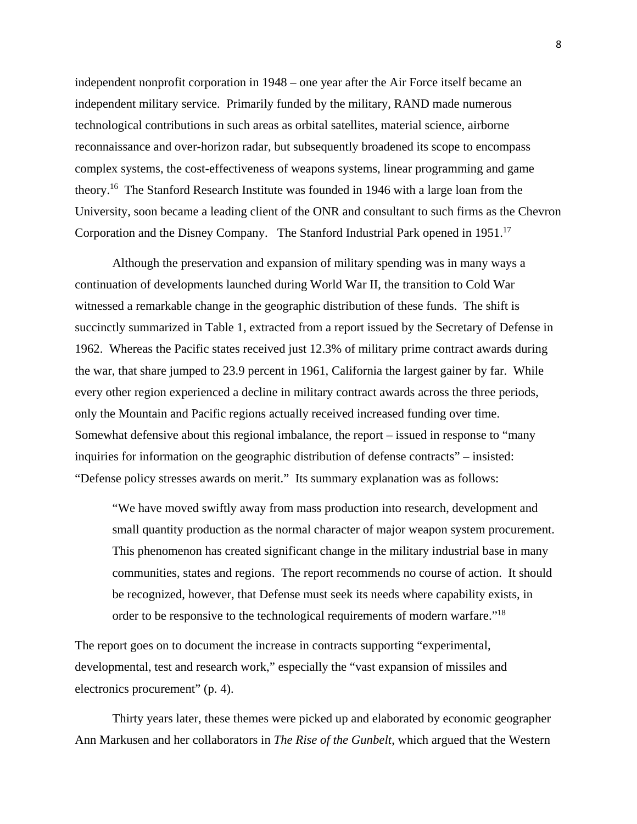independent nonprofit corporation in 1948 – one year after the Air Force itself became an independent military service. Primarily funded by the military, RAND made numerous technological contributions in such areas as orbital satellites, material science, airborne reconnaissance and over-horizon radar, but subsequently broadened its scope to encompass complex systems, the cost-effectiveness of weapons systems, linear programming and game theory.16 The Stanford Research Institute was founded in 1946 with a large loan from the University, soon became a leading client of the ONR and consultant to such firms as the Chevron Corporation and the Disney Company. The Stanford Industrial Park opened in 1951.17

Although the preservation and expansion of military spending was in many ways a continuation of developments launched during World War II, the transition to Cold War witnessed a remarkable change in the geographic distribution of these funds. The shift is succinctly summarized in Table 1, extracted from a report issued by the Secretary of Defense in 1962. Whereas the Pacific states received just 12.3% of military prime contract awards during the war, that share jumped to 23.9 percent in 1961, California the largest gainer by far. While every other region experienced a decline in military contract awards across the three periods, only the Mountain and Pacific regions actually received increased funding over time. Somewhat defensive about this regional imbalance, the report – issued in response to "many inquiries for information on the geographic distribution of defense contracts" – insisted: "Defense policy stresses awards on merit." Its summary explanation was as follows:

"We have moved swiftly away from mass production into research, development and small quantity production as the normal character of major weapon system procurement. This phenomenon has created significant change in the military industrial base in many communities, states and regions. The report recommends no course of action. It should be recognized, however, that Defense must seek its needs where capability exists, in order to be responsive to the technological requirements of modern warfare."18

The report goes on to document the increase in contracts supporting "experimental, developmental, test and research work," especially the "vast expansion of missiles and electronics procurement" (p. 4).

Thirty years later, these themes were picked up and elaborated by economic geographer Ann Markusen and her collaborators in *The Rise of the Gunbelt*, which argued that the Western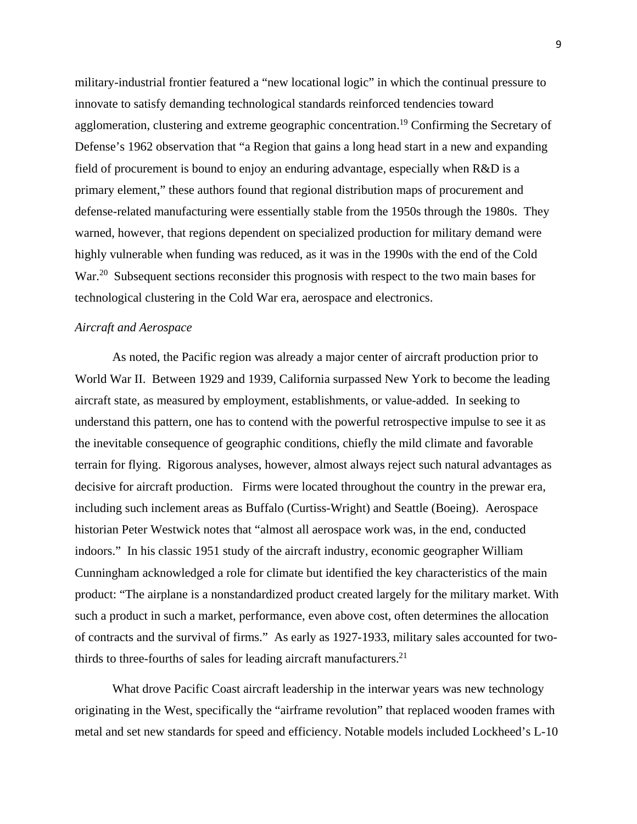military-industrial frontier featured a "new locational logic" in which the continual pressure to innovate to satisfy demanding technological standards reinforced tendencies toward agglomeration, clustering and extreme geographic concentration.<sup>19</sup> Confirming the Secretary of Defense's 1962 observation that "a Region that gains a long head start in a new and expanding field of procurement is bound to enjoy an enduring advantage, especially when R&D is a primary element," these authors found that regional distribution maps of procurement and defense-related manufacturing were essentially stable from the 1950s through the 1980s. They warned, however, that regions dependent on specialized production for military demand were highly vulnerable when funding was reduced, as it was in the 1990s with the end of the Cold War.<sup>20</sup> Subsequent sections reconsider this prognosis with respect to the two main bases for technological clustering in the Cold War era, aerospace and electronics.

#### *Aircraft and Aerospace*

As noted, the Pacific region was already a major center of aircraft production prior to World War II. Between 1929 and 1939, California surpassed New York to become the leading aircraft state, as measured by employment, establishments, or value-added. In seeking to understand this pattern, one has to contend with the powerful retrospective impulse to see it as the inevitable consequence of geographic conditions, chiefly the mild climate and favorable terrain for flying. Rigorous analyses, however, almost always reject such natural advantages as decisive for aircraft production. Firms were located throughout the country in the prewar era, including such inclement areas as Buffalo (Curtiss-Wright) and Seattle (Boeing). Aerospace historian Peter Westwick notes that "almost all aerospace work was, in the end, conducted indoors." In his classic 1951 study of the aircraft industry, economic geographer William Cunningham acknowledged a role for climate but identified the key characteristics of the main product: "The airplane is a nonstandardized product created largely for the military market. With such a product in such a market, performance, even above cost, often determines the allocation of contracts and the survival of firms." As early as 1927-1933, military sales accounted for twothirds to three-fourths of sales for leading aircraft manufacturers. $2<sup>1</sup>$ 

What drove Pacific Coast aircraft leadership in the interwar years was new technology originating in the West, specifically the "airframe revolution" that replaced wooden frames with metal and set new standards for speed and efficiency. Notable models included Lockheed's L-10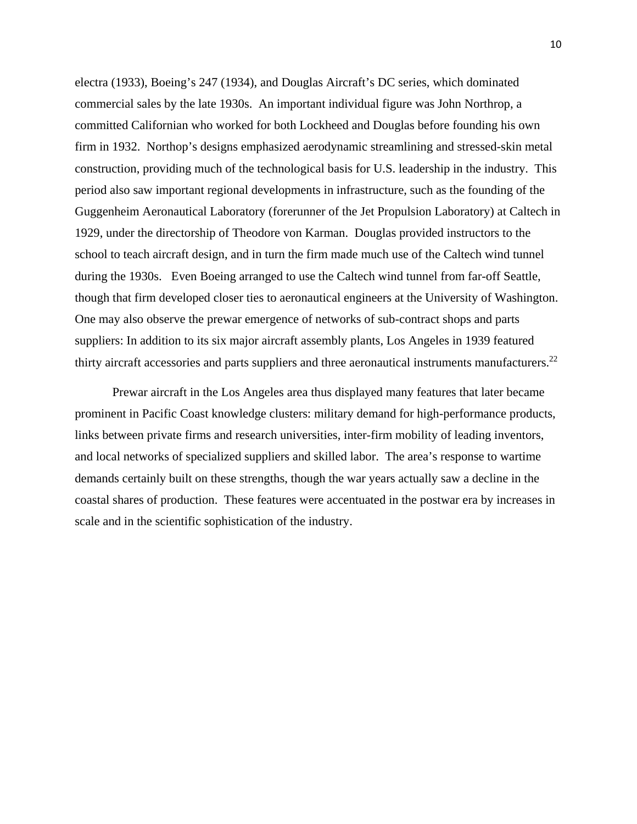electra (1933), Boeing's 247 (1934), and Douglas Aircraft's DC series, which dominated commercial sales by the late 1930s. An important individual figure was John Northrop, a committed Californian who worked for both Lockheed and Douglas before founding his own firm in 1932. Northop's designs emphasized aerodynamic streamlining and stressed-skin metal construction, providing much of the technological basis for U.S. leadership in the industry. This period also saw important regional developments in infrastructure, such as the founding of the Guggenheim Aeronautical Laboratory (forerunner of the Jet Propulsion Laboratory) at Caltech in 1929, under the directorship of Theodore von Karman. Douglas provided instructors to the school to teach aircraft design, and in turn the firm made much use of the Caltech wind tunnel during the 1930s. Even Boeing arranged to use the Caltech wind tunnel from far-off Seattle, though that firm developed closer ties to aeronautical engineers at the University of Washington. One may also observe the prewar emergence of networks of sub-contract shops and parts suppliers: In addition to its six major aircraft assembly plants, Los Angeles in 1939 featured thirty aircraft accessories and parts suppliers and three aeronautical instruments manufacturers.<sup>22</sup>

Prewar aircraft in the Los Angeles area thus displayed many features that later became prominent in Pacific Coast knowledge clusters: military demand for high-performance products, links between private firms and research universities, inter-firm mobility of leading inventors, and local networks of specialized suppliers and skilled labor. The area's response to wartime demands certainly built on these strengths, though the war years actually saw a decline in the coastal shares of production. These features were accentuated in the postwar era by increases in scale and in the scientific sophistication of the industry.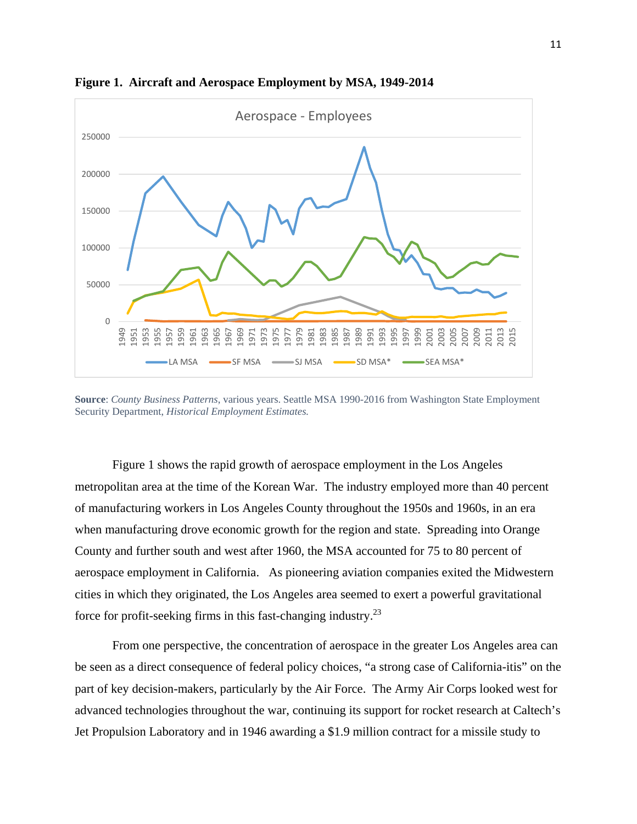

**Figure 1. Aircraft and Aerospace Employment by MSA, 1949-2014** 

**Source**: *County Business Patterns*, various years. Seattle MSA 1990-2016 from Washington State Employment Security Department, *Historical Employment Estimates.*

Figure 1 shows the rapid growth of aerospace employment in the Los Angeles metropolitan area at the time of the Korean War. The industry employed more than 40 percent of manufacturing workers in Los Angeles County throughout the 1950s and 1960s, in an era when manufacturing drove economic growth for the region and state. Spreading into Orange County and further south and west after 1960, the MSA accounted for 75 to 80 percent of aerospace employment in California. As pioneering aviation companies exited the Midwestern cities in which they originated, the Los Angeles area seemed to exert a powerful gravitational force for profit-seeking firms in this fast-changing industry.23

From one perspective, the concentration of aerospace in the greater Los Angeles area can be seen as a direct consequence of federal policy choices, "a strong case of California-itis" on the part of key decision-makers, particularly by the Air Force. The Army Air Corps looked west for advanced technologies throughout the war, continuing its support for rocket research at Caltech's Jet Propulsion Laboratory and in 1946 awarding a \$1.9 million contract for a missile study to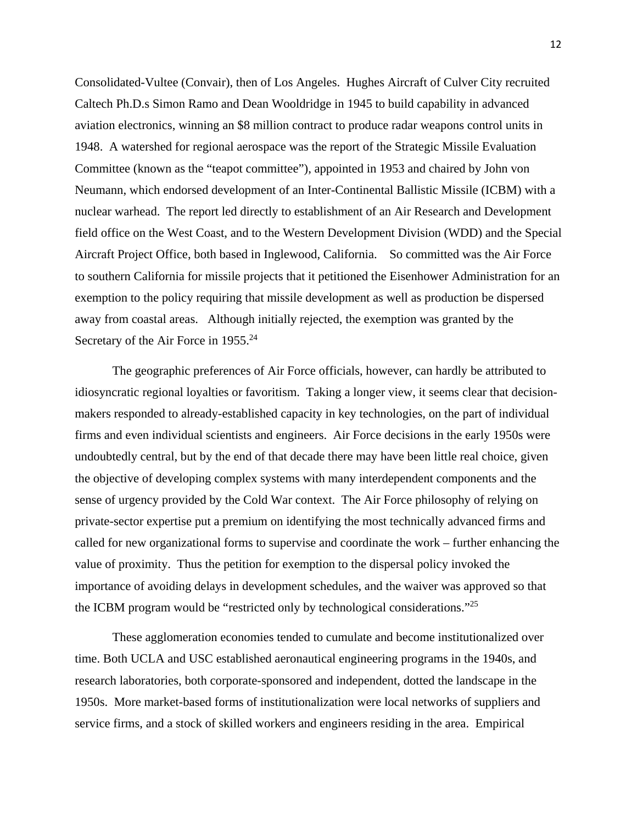Consolidated-Vultee (Convair), then of Los Angeles. Hughes Aircraft of Culver City recruited Caltech Ph.D.s Simon Ramo and Dean Wooldridge in 1945 to build capability in advanced aviation electronics, winning an \$8 million contract to produce radar weapons control units in 1948. A watershed for regional aerospace was the report of the Strategic Missile Evaluation Committee (known as the "teapot committee"), appointed in 1953 and chaired by John von Neumann, which endorsed development of an Inter-Continental Ballistic Missile (ICBM) with a nuclear warhead. The report led directly to establishment of an Air Research and Development field office on the West Coast, and to the Western Development Division (WDD) and the Special Aircraft Project Office, both based in Inglewood, California. So committed was the Air Force to southern California for missile projects that it petitioned the Eisenhower Administration for an exemption to the policy requiring that missile development as well as production be dispersed away from coastal areas. Although initially rejected, the exemption was granted by the Secretary of the Air Force in 1955.<sup>24</sup>

The geographic preferences of Air Force officials, however, can hardly be attributed to idiosyncratic regional loyalties or favoritism. Taking a longer view, it seems clear that decisionmakers responded to already-established capacity in key technologies, on the part of individual firms and even individual scientists and engineers. Air Force decisions in the early 1950s were undoubtedly central, but by the end of that decade there may have been little real choice, given the objective of developing complex systems with many interdependent components and the sense of urgency provided by the Cold War context. The Air Force philosophy of relying on private-sector expertise put a premium on identifying the most technically advanced firms and called for new organizational forms to supervise and coordinate the work – further enhancing the value of proximity. Thus the petition for exemption to the dispersal policy invoked the importance of avoiding delays in development schedules, and the waiver was approved so that the ICBM program would be "restricted only by technological considerations."25

These agglomeration economies tended to cumulate and become institutionalized over time. Both UCLA and USC established aeronautical engineering programs in the 1940s, and research laboratories, both corporate-sponsored and independent, dotted the landscape in the 1950s. More market-based forms of institutionalization were local networks of suppliers and service firms, and a stock of skilled workers and engineers residing in the area. Empirical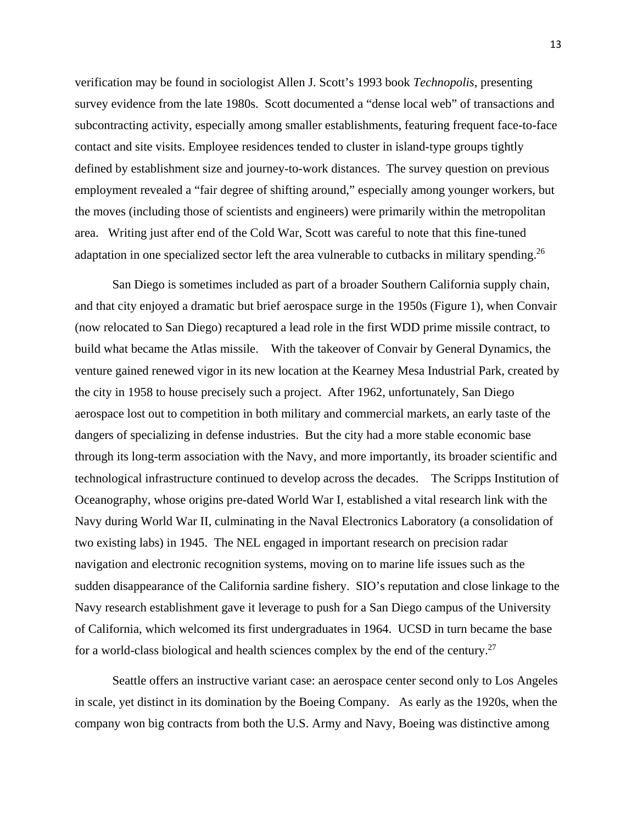verification may be found in sociologist Allen J. Scott's 1993 book *Technopolis*, presenting survey evidence from the late 1980s. Scott documented a "dense local web" of transactions and subcontracting activity, especially among smaller establishments, featuring frequent face-to-face contact and site visits. Employee residences tended to cluster in island-type groups tightly defined by establishment size and journey-to-work distances. The survey question on previous employment revealed a "fair degree of shifting around," especially among younger workers, but the moves (including those of scientists and engineers) were primarily within the metropolitan area. Writing just after end of the Cold War, Scott was careful to note that this fine-tuned adaptation in one specialized sector left the area vulnerable to cutbacks in military spending.<sup>26</sup>

San Diego is sometimes included as part of a broader Southern California supply chain, and that city enjoyed a dramatic but brief aerospace surge in the 1950s (Figure 1), when Convair (now relocated to San Diego) recaptured a lead role in the first WDD prime missile contract, to build what became the Atlas missile. With the takeover of Convair by General Dynamics, the venture gained renewed vigor in its new location at the Kearney Mesa Industrial Park, created by the city in 1958 to house precisely such a project. After 1962, unfortunately, San Diego aerospace lost out to competition in both military and commercial markets, an early taste of the dangers of specializing in defense industries. But the city had a more stable economic base through its long-term association with the Navy, and more importantly, its broader scientific and technological infrastructure continued to develop across the decades. The Scripps Institution of Oceanography, whose origins pre-dated World War I, established a vital research link with the Navy during World War II, culminating in the Naval Electronics Laboratory (a consolidation of two existing labs) in 1945. The NEL engaged in important research on precision radar navigation and electronic recognition systems, moving on to marine life issues such as the sudden disappearance of the California sardine fishery. SIO's reputation and close linkage to the Navy research establishment gave it leverage to push for a San Diego campus of the University of California, which welcomed its first undergraduates in 1964. UCSD in turn became the base for a world-class biological and health sciences complex by the end of the century.<sup>27</sup>

Seattle offers an instructive variant case: an aerospace center second only to Los Angeles in scale, yet distinct in its domination by the Boeing Company. As early as the 1920s, when the company won big contracts from both the U.S. Army and Navy, Boeing was distinctive among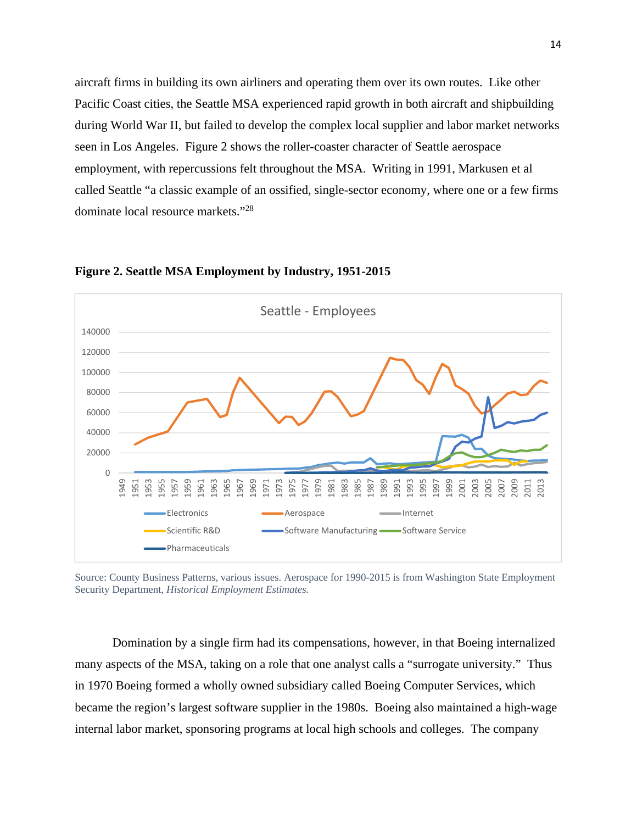aircraft firms in building its own airliners and operating them over its own routes. Like other Pacific Coast cities, the Seattle MSA experienced rapid growth in both aircraft and shipbuilding during World War II, but failed to develop the complex local supplier and labor market networks seen in Los Angeles. Figure 2 shows the roller-coaster character of Seattle aerospace employment, with repercussions felt throughout the MSA. Writing in 1991, Markusen et al called Seattle "a classic example of an ossified, single-sector economy, where one or a few firms dominate local resource markets."<sup>28</sup>



**Figure 2. Seattle MSA Employment by Industry, 1951-2015**

Source: County Business Patterns, various issues. Aerospace for 1990-2015 is from Washington State Employment Security Department, *Historical Employment Estimates.* 

Domination by a single firm had its compensations, however, in that Boeing internalized many aspects of the MSA, taking on a role that one analyst calls a "surrogate university." Thus in 1970 Boeing formed a wholly owned subsidiary called Boeing Computer Services, which became the region's largest software supplier in the 1980s. Boeing also maintained a high-wage internal labor market, sponsoring programs at local high schools and colleges. The company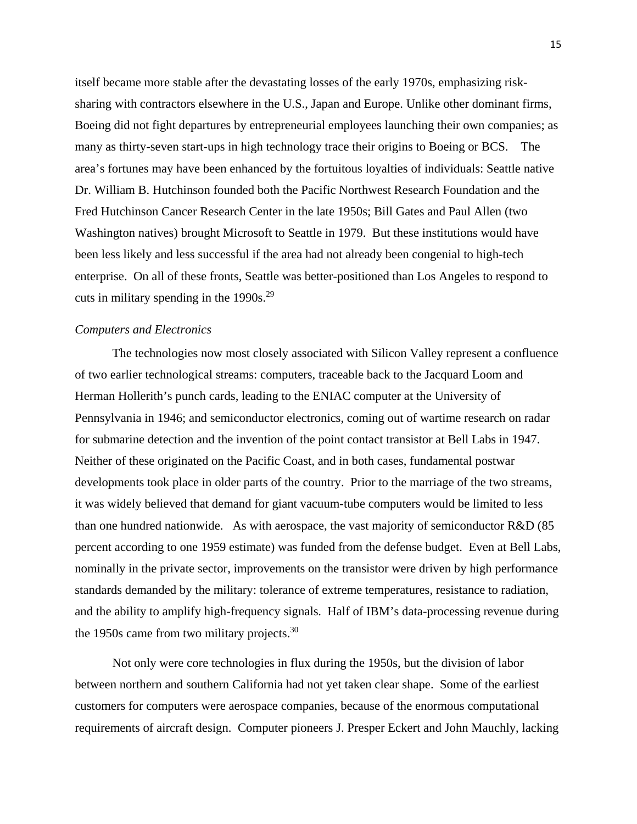itself became more stable after the devastating losses of the early 1970s, emphasizing risksharing with contractors elsewhere in the U.S., Japan and Europe. Unlike other dominant firms, Boeing did not fight departures by entrepreneurial employees launching their own companies; as many as thirty-seven start-ups in high technology trace their origins to Boeing or BCS. The area's fortunes may have been enhanced by the fortuitous loyalties of individuals: Seattle native Dr. William B. Hutchinson founded both the Pacific Northwest Research Foundation and the Fred Hutchinson Cancer Research Center in the late 1950s; Bill Gates and Paul Allen (two Washington natives) brought Microsoft to Seattle in 1979. But these institutions would have been less likely and less successful if the area had not already been congenial to high-tech enterprise. On all of these fronts, Seattle was better-positioned than Los Angeles to respond to cuts in military spending in the  $1990s.<sup>29</sup>$ 

#### *Computers and Electronics*

The technologies now most closely associated with Silicon Valley represent a confluence of two earlier technological streams: computers, traceable back to the Jacquard Loom and Herman Hollerith's punch cards, leading to the ENIAC computer at the University of Pennsylvania in 1946; and semiconductor electronics, coming out of wartime research on radar for submarine detection and the invention of the point contact transistor at Bell Labs in 1947. Neither of these originated on the Pacific Coast, and in both cases, fundamental postwar developments took place in older parts of the country. Prior to the marriage of the two streams, it was widely believed that demand for giant vacuum-tube computers would be limited to less than one hundred nationwide. As with aerospace, the vast majority of semiconductor R&D (85 percent according to one 1959 estimate) was funded from the defense budget. Even at Bell Labs, nominally in the private sector, improvements on the transistor were driven by high performance standards demanded by the military: tolerance of extreme temperatures, resistance to radiation, and the ability to amplify high-frequency signals. Half of IBM's data-processing revenue during the 1950s came from two military projects. $30$ 

 Not only were core technologies in flux during the 1950s, but the division of labor between northern and southern California had not yet taken clear shape. Some of the earliest customers for computers were aerospace companies, because of the enormous computational requirements of aircraft design. Computer pioneers J. Presper Eckert and John Mauchly, lacking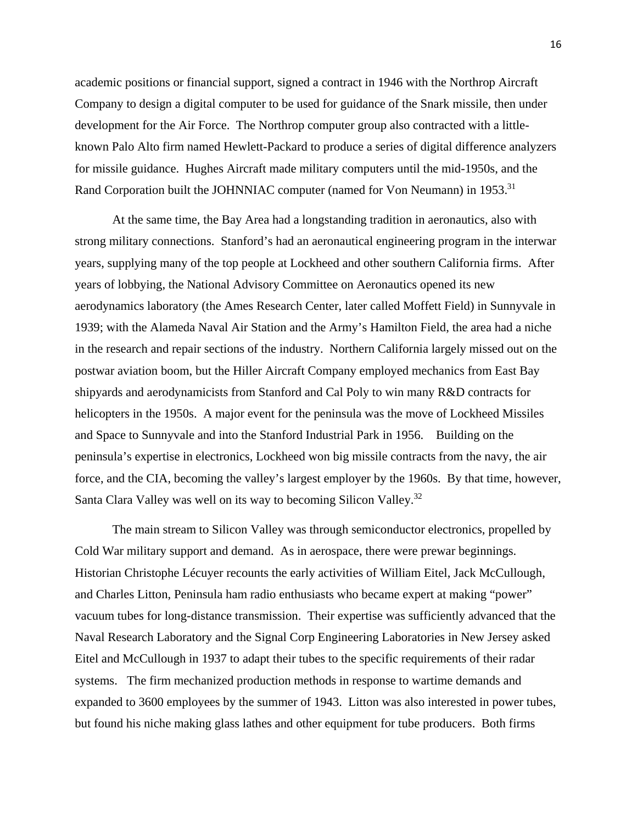academic positions or financial support, signed a contract in 1946 with the Northrop Aircraft Company to design a digital computer to be used for guidance of the Snark missile, then under development for the Air Force. The Northrop computer group also contracted with a littleknown Palo Alto firm named Hewlett-Packard to produce a series of digital difference analyzers for missile guidance. Hughes Aircraft made military computers until the mid-1950s, and the Rand Corporation built the JOHNNIAC computer (named for Von Neumann) in 1953.<sup>31</sup>

 At the same time, the Bay Area had a longstanding tradition in aeronautics, also with strong military connections. Stanford's had an aeronautical engineering program in the interwar years, supplying many of the top people at Lockheed and other southern California firms. After years of lobbying, the National Advisory Committee on Aeronautics opened its new aerodynamics laboratory (the Ames Research Center, later called Moffett Field) in Sunnyvale in 1939; with the Alameda Naval Air Station and the Army's Hamilton Field, the area had a niche in the research and repair sections of the industry. Northern California largely missed out on the postwar aviation boom, but the Hiller Aircraft Company employed mechanics from East Bay shipyards and aerodynamicists from Stanford and Cal Poly to win many R&D contracts for helicopters in the 1950s. A major event for the peninsula was the move of Lockheed Missiles and Space to Sunnyvale and into the Stanford Industrial Park in 1956. Building on the peninsula's expertise in electronics, Lockheed won big missile contracts from the navy, the air force, and the CIA, becoming the valley's largest employer by the 1960s. By that time, however, Santa Clara Valley was well on its way to becoming Silicon Valley.<sup>32</sup>

 The main stream to Silicon Valley was through semiconductor electronics, propelled by Cold War military support and demand. As in aerospace, there were prewar beginnings. Historian Christophe Lécuyer recounts the early activities of William Eitel, Jack McCullough, and Charles Litton, Peninsula ham radio enthusiasts who became expert at making "power" vacuum tubes for long-distance transmission. Their expertise was sufficiently advanced that the Naval Research Laboratory and the Signal Corp Engineering Laboratories in New Jersey asked Eitel and McCullough in 1937 to adapt their tubes to the specific requirements of their radar systems. The firm mechanized production methods in response to wartime demands and expanded to 3600 employees by the summer of 1943. Litton was also interested in power tubes, but found his niche making glass lathes and other equipment for tube producers. Both firms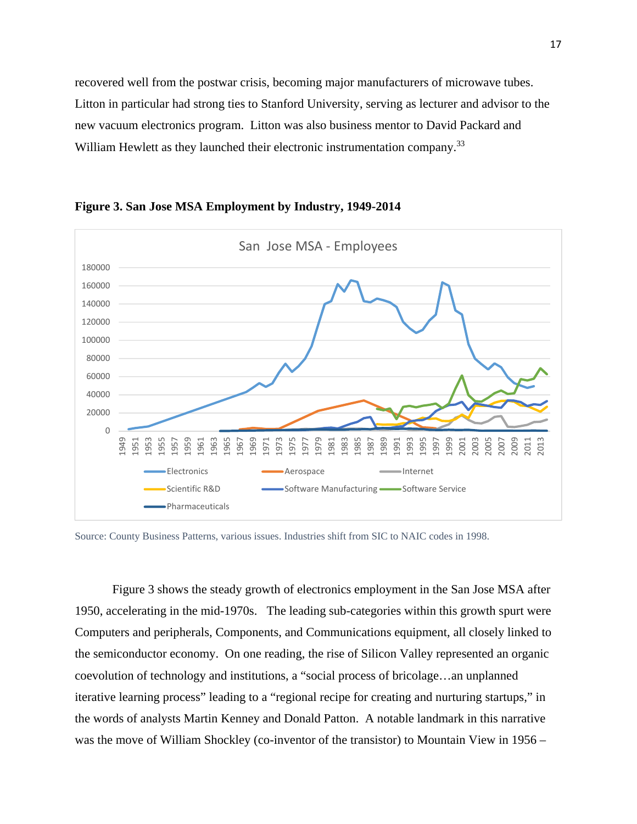recovered well from the postwar crisis, becoming major manufacturers of microwave tubes. Litton in particular had strong ties to Stanford University, serving as lecturer and advisor to the new vacuum electronics program. Litton was also business mentor to David Packard and William Hewlett as they launched their electronic instrumentation company.<sup>33</sup>



**Figure 3. San Jose MSA Employment by Industry, 1949-2014** 

Source: County Business Patterns, various issues. Industries shift from SIC to NAIC codes in 1998.

Figure 3 shows the steady growth of electronics employment in the San Jose MSA after 1950, accelerating in the mid-1970s. The leading sub-categories within this growth spurt were Computers and peripherals, Components, and Communications equipment, all closely linked to the semiconductor economy. On one reading, the rise of Silicon Valley represented an organic coevolution of technology and institutions, a "social process of bricolage…an unplanned iterative learning process" leading to a "regional recipe for creating and nurturing startups," in the words of analysts Martin Kenney and Donald Patton. A notable landmark in this narrative was the move of William Shockley (co-inventor of the transistor) to Mountain View in 1956 –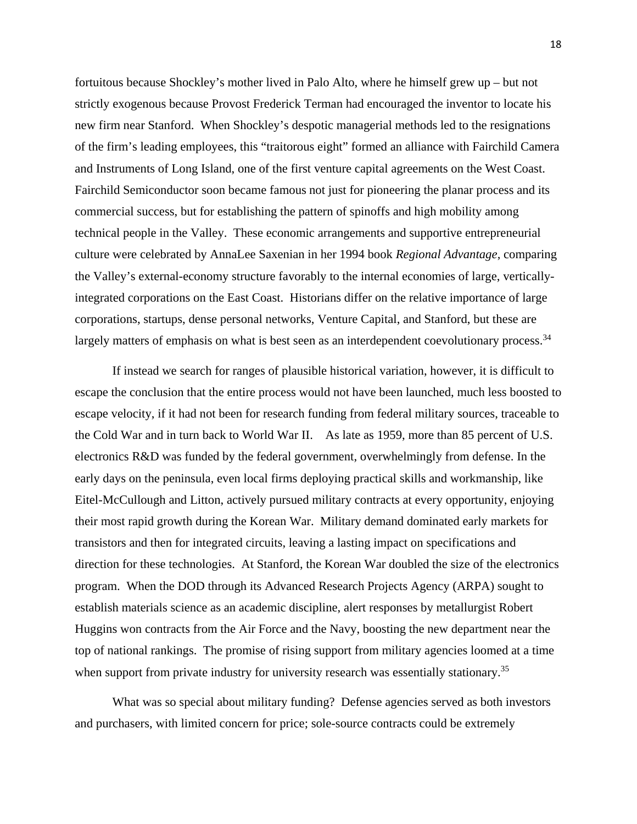fortuitous because Shockley's mother lived in Palo Alto, where he himself grew up – but not strictly exogenous because Provost Frederick Terman had encouraged the inventor to locate his new firm near Stanford. When Shockley's despotic managerial methods led to the resignations of the firm's leading employees, this "traitorous eight" formed an alliance with Fairchild Camera and Instruments of Long Island, one of the first venture capital agreements on the West Coast. Fairchild Semiconductor soon became famous not just for pioneering the planar process and its commercial success, but for establishing the pattern of spinoffs and high mobility among technical people in the Valley. These economic arrangements and supportive entrepreneurial culture were celebrated by AnnaLee Saxenian in her 1994 book *Regional Advantage*, comparing the Valley's external-economy structure favorably to the internal economies of large, verticallyintegrated corporations on the East Coast. Historians differ on the relative importance of large corporations, startups, dense personal networks, Venture Capital, and Stanford, but these are largely matters of emphasis on what is best seen as an interdependent coevolutionary process.<sup>34</sup>

 If instead we search for ranges of plausible historical variation, however, it is difficult to escape the conclusion that the entire process would not have been launched, much less boosted to escape velocity, if it had not been for research funding from federal military sources, traceable to the Cold War and in turn back to World War II. As late as 1959, more than 85 percent of U.S. electronics R&D was funded by the federal government, overwhelmingly from defense. In the early days on the peninsula, even local firms deploying practical skills and workmanship, like Eitel-McCullough and Litton, actively pursued military contracts at every opportunity, enjoying their most rapid growth during the Korean War. Military demand dominated early markets for transistors and then for integrated circuits, leaving a lasting impact on specifications and direction for these technologies. At Stanford, the Korean War doubled the size of the electronics program. When the DOD through its Advanced Research Projects Agency (ARPA) sought to establish materials science as an academic discipline, alert responses by metallurgist Robert Huggins won contracts from the Air Force and the Navy, boosting the new department near the top of national rankings. The promise of rising support from military agencies loomed at a time when support from private industry for university research was essentially stationary.<sup>35</sup>

What was so special about military funding? Defense agencies served as both investors and purchasers, with limited concern for price; sole-source contracts could be extremely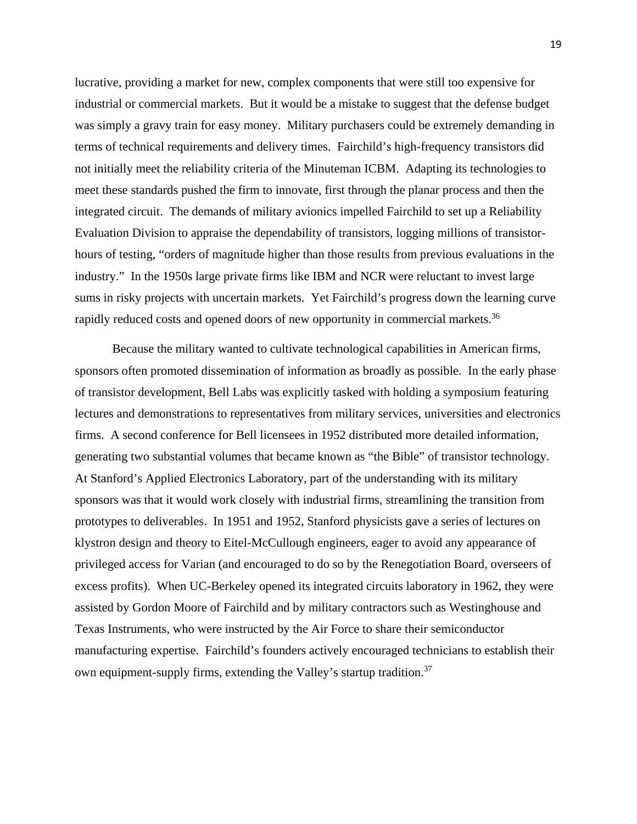lucrative, providing a market for new, complex components that were still too expensive for industrial or commercial markets. But it would be a mistake to suggest that the defense budget was simply a gravy train for easy money. Military purchasers could be extremely demanding in terms of technical requirements and delivery times. Fairchild's high-frequency transistors did not initially meet the reliability criteria of the Minuteman ICBM. Adapting its technologies to meet these standards pushed the firm to innovate, first through the planar process and then the integrated circuit. The demands of military avionics impelled Fairchild to set up a Reliability Evaluation Division to appraise the dependability of transistors, logging millions of transistorhours of testing, "orders of magnitude higher than those results from previous evaluations in the industry." In the 1950s large private firms like IBM and NCR were reluctant to invest large sums in risky projects with uncertain markets. Yet Fairchild's progress down the learning curve rapidly reduced costs and opened doors of new opportunity in commercial markets.<sup>36</sup>

Because the military wanted to cultivate technological capabilities in American firms, sponsors often promoted dissemination of information as broadly as possible. In the early phase of transistor development, Bell Labs was explicitly tasked with holding a symposium featuring lectures and demonstrations to representatives from military services, universities and electronics firms. A second conference for Bell licensees in 1952 distributed more detailed information, generating two substantial volumes that became known as "the Bible" of transistor technology. At Stanford's Applied Electronics Laboratory, part of the understanding with its military sponsors was that it would work closely with industrial firms, streamlining the transition from prototypes to deliverables. In 1951 and 1952, Stanford physicists gave a series of lectures on klystron design and theory to Eitel-McCullough engineers, eager to avoid any appearance of privileged access for Varian (and encouraged to do so by the Renegotiation Board, overseers of excess profits). When UC-Berkeley opened its integrated circuits laboratory in 1962, they were assisted by Gordon Moore of Fairchild and by military contractors such as Westinghouse and Texas Instruments, who were instructed by the Air Force to share their semiconductor manufacturing expertise. Fairchild's founders actively encouraged technicians to establish their own equipment-supply firms, extending the Valley's startup tradition.<sup>37</sup>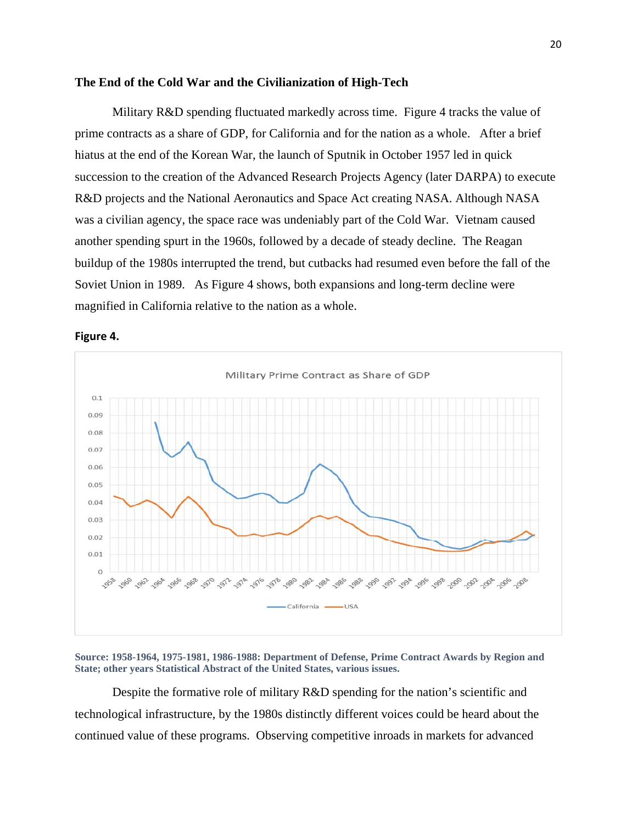#### **The End of the Cold War and the Civilianization of High-Tech**

 Military R&D spending fluctuated markedly across time. Figure 4 tracks the value of prime contracts as a share of GDP, for California and for the nation as a whole. After a brief hiatus at the end of the Korean War, the launch of Sputnik in October 1957 led in quick succession to the creation of the Advanced Research Projects Agency (later DARPA) to execute R&D projects and the National Aeronautics and Space Act creating NASA. Although NASA was a civilian agency, the space race was undeniably part of the Cold War. Vietnam caused another spending spurt in the 1960s, followed by a decade of steady decline. The Reagan buildup of the 1980s interrupted the trend, but cutbacks had resumed even before the fall of the Soviet Union in 1989. As Figure 4 shows, both expansions and long-term decline were magnified in California relative to the nation as a whole.



**Figure 4.**

**Source: 1958-1964, 1975-1981, 1986-1988: Department of Defense, Prime Contract Awards by Region and State; other years Statistical Abstract of the United States, various issues.** 

Despite the formative role of military R&D spending for the nation's scientific and technological infrastructure, by the 1980s distinctly different voices could be heard about the continued value of these programs. Observing competitive inroads in markets for advanced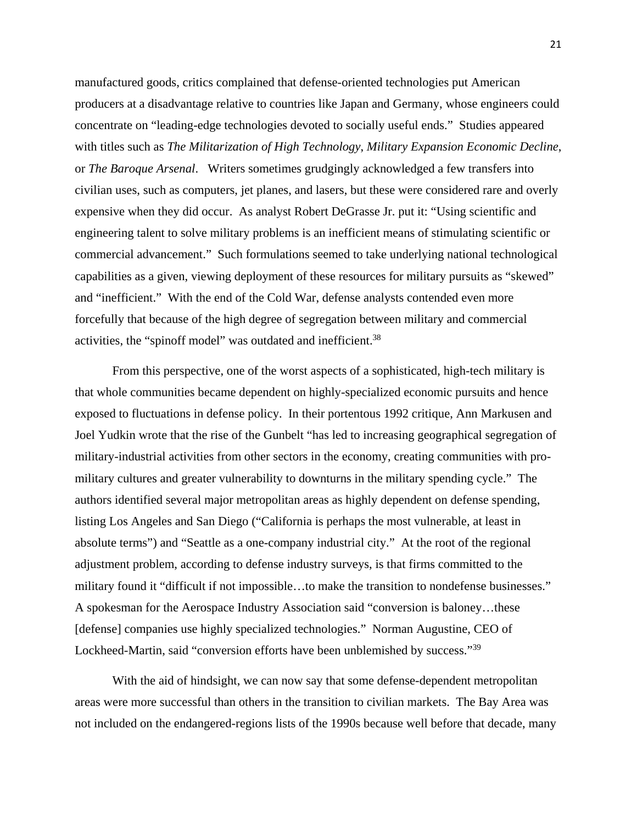manufactured goods, critics complained that defense-oriented technologies put American producers at a disadvantage relative to countries like Japan and Germany, whose engineers could concentrate on "leading-edge technologies devoted to socially useful ends." Studies appeared with titles such as *The Militarization of High Technology*, *Military Expansion Economic Decline*, or *The Baroque Arsenal*. Writers sometimes grudgingly acknowledged a few transfers into civilian uses, such as computers, jet planes, and lasers, but these were considered rare and overly expensive when they did occur. As analyst Robert DeGrasse Jr. put it: "Using scientific and engineering talent to solve military problems is an inefficient means of stimulating scientific or commercial advancement." Such formulations seemed to take underlying national technological capabilities as a given, viewing deployment of these resources for military pursuits as "skewed" and "inefficient." With the end of the Cold War, defense analysts contended even more forcefully that because of the high degree of segregation between military and commercial activities, the "spinoff model" was outdated and inefficient.38

From this perspective, one of the worst aspects of a sophisticated, high-tech military is that whole communities became dependent on highly-specialized economic pursuits and hence exposed to fluctuations in defense policy. In their portentous 1992 critique, Ann Markusen and Joel Yudkin wrote that the rise of the Gunbelt "has led to increasing geographical segregation of military-industrial activities from other sectors in the economy, creating communities with promilitary cultures and greater vulnerability to downturns in the military spending cycle." The authors identified several major metropolitan areas as highly dependent on defense spending, listing Los Angeles and San Diego ("California is perhaps the most vulnerable, at least in absolute terms") and "Seattle as a one-company industrial city." At the root of the regional adjustment problem, according to defense industry surveys, is that firms committed to the military found it "difficult if not impossible…to make the transition to nondefense businesses." A spokesman for the Aerospace Industry Association said "conversion is baloney…these [defense] companies use highly specialized technologies." Norman Augustine, CEO of Lockheed-Martin, said "conversion efforts have been unblemished by success."<sup>39</sup>

 With the aid of hindsight, we can now say that some defense-dependent metropolitan areas were more successful than others in the transition to civilian markets. The Bay Area was not included on the endangered-regions lists of the 1990s because well before that decade, many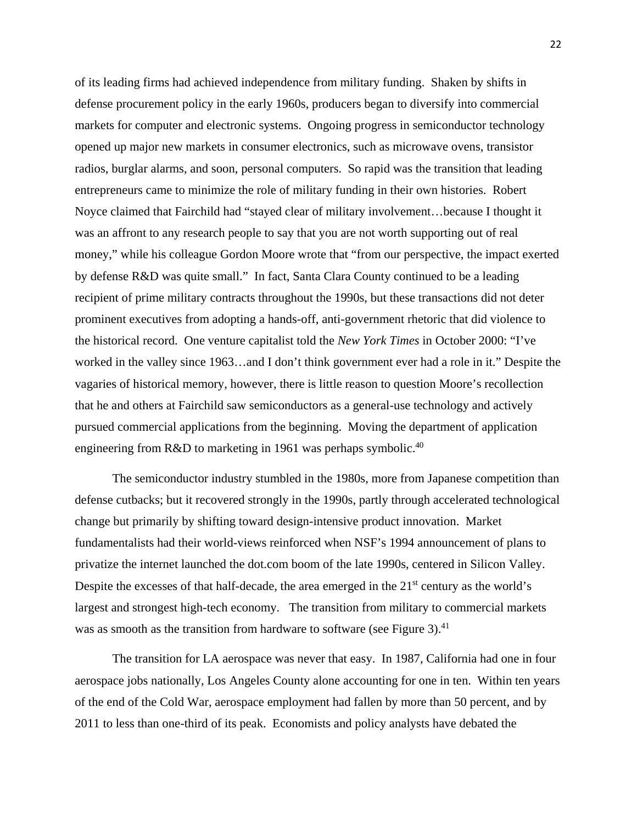of its leading firms had achieved independence from military funding. Shaken by shifts in defense procurement policy in the early 1960s, producers began to diversify into commercial markets for computer and electronic systems. Ongoing progress in semiconductor technology opened up major new markets in consumer electronics, such as microwave ovens, transistor radios, burglar alarms, and soon, personal computers. So rapid was the transition that leading entrepreneurs came to minimize the role of military funding in their own histories. Robert Noyce claimed that Fairchild had "stayed clear of military involvement…because I thought it was an affront to any research people to say that you are not worth supporting out of real money," while his colleague Gordon Moore wrote that "from our perspective, the impact exerted by defense R&D was quite small." In fact, Santa Clara County continued to be a leading recipient of prime military contracts throughout the 1990s, but these transactions did not deter prominent executives from adopting a hands-off, anti-government rhetoric that did violence to the historical record. One venture capitalist told the *New York Times* in October 2000: "I've worked in the valley since 1963…and I don't think government ever had a role in it." Despite the vagaries of historical memory, however, there is little reason to question Moore's recollection that he and others at Fairchild saw semiconductors as a general-use technology and actively pursued commercial applications from the beginning. Moving the department of application engineering from R&D to marketing in 1961 was perhaps symbolic.<sup>40</sup>

The semiconductor industry stumbled in the 1980s, more from Japanese competition than defense cutbacks; but it recovered strongly in the 1990s, partly through accelerated technological change but primarily by shifting toward design-intensive product innovation. Market fundamentalists had their world-views reinforced when NSF's 1994 announcement of plans to privatize the internet launched the dot.com boom of the late 1990s, centered in Silicon Valley. Despite the excesses of that half-decade, the area emerged in the 21<sup>st</sup> century as the world's largest and strongest high-tech economy. The transition from military to commercial markets was as smooth as the transition from hardware to software (see Figure 3). $41$ 

 The transition for LA aerospace was never that easy. In 1987, California had one in four aerospace jobs nationally, Los Angeles County alone accounting for one in ten. Within ten years of the end of the Cold War, aerospace employment had fallen by more than 50 percent, and by 2011 to less than one-third of its peak. Economists and policy analysts have debated the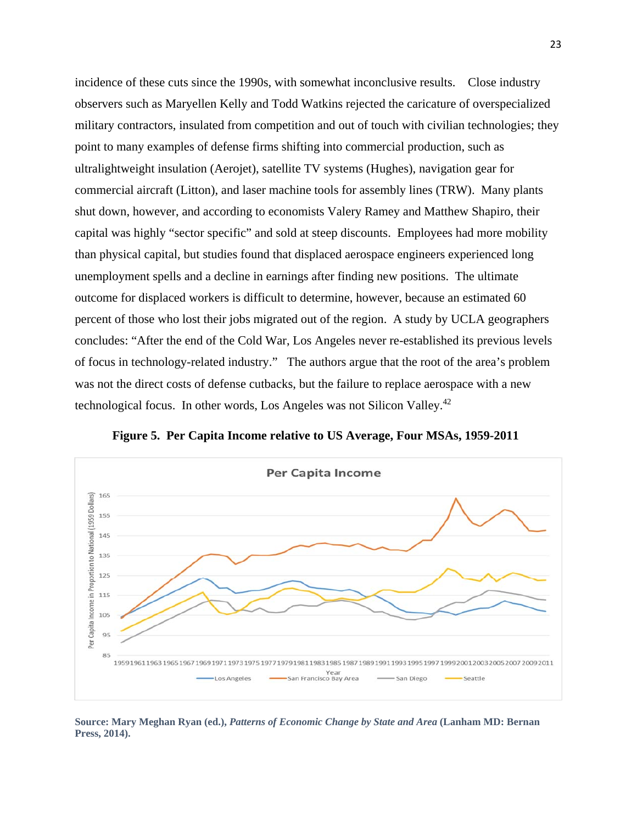incidence of these cuts since the 1990s, with somewhat inconclusive results. Close industry observers such as Maryellen Kelly and Todd Watkins rejected the caricature of overspecialized military contractors, insulated from competition and out of touch with civilian technologies; they point to many examples of defense firms shifting into commercial production, such as ultralightweight insulation (Aerojet), satellite TV systems (Hughes), navigation gear for commercial aircraft (Litton), and laser machine tools for assembly lines (TRW). Many plants shut down, however, and according to economists Valery Ramey and Matthew Shapiro, their capital was highly "sector specific" and sold at steep discounts. Employees had more mobility than physical capital, but studies found that displaced aerospace engineers experienced long unemployment spells and a decline in earnings after finding new positions. The ultimate outcome for displaced workers is difficult to determine, however, because an estimated 60 percent of those who lost their jobs migrated out of the region. A study by UCLA geographers concludes: "After the end of the Cold War, Los Angeles never re-established its previous levels of focus in technology-related industry." The authors argue that the root of the area's problem was not the direct costs of defense cutbacks, but the failure to replace aerospace with a new technological focus. In other words, Los Angeles was not Silicon Valley.42



**Figure 5. Per Capita Income relative to US Average, Four MSAs, 1959-2011**

**Source: Mary Meghan Ryan (ed.),** *Patterns of Economic Change by State and Area* **(Lanham MD: Bernan Press, 2014).**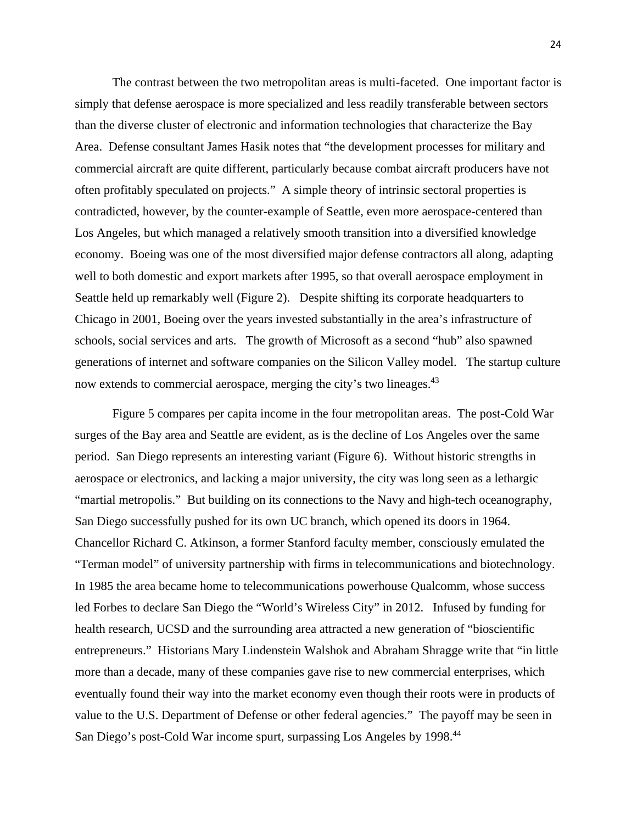The contrast between the two metropolitan areas is multi-faceted. One important factor is simply that defense aerospace is more specialized and less readily transferable between sectors than the diverse cluster of electronic and information technologies that characterize the Bay Area. Defense consultant James Hasik notes that "the development processes for military and commercial aircraft are quite different, particularly because combat aircraft producers have not often profitably speculated on projects." A simple theory of intrinsic sectoral properties is contradicted, however, by the counter-example of Seattle, even more aerospace-centered than Los Angeles, but which managed a relatively smooth transition into a diversified knowledge economy. Boeing was one of the most diversified major defense contractors all along, adapting well to both domestic and export markets after 1995, so that overall aerospace employment in Seattle held up remarkably well (Figure 2). Despite shifting its corporate headquarters to Chicago in 2001, Boeing over the years invested substantially in the area's infrastructure of schools, social services and arts. The growth of Microsoft as a second "hub" also spawned generations of internet and software companies on the Silicon Valley model. The startup culture now extends to commercial aerospace, merging the city's two lineages.<sup>43</sup>

 Figure 5 compares per capita income in the four metropolitan areas. The post-Cold War surges of the Bay area and Seattle are evident, as is the decline of Los Angeles over the same period. San Diego represents an interesting variant (Figure 6). Without historic strengths in aerospace or electronics, and lacking a major university, the city was long seen as a lethargic "martial metropolis." But building on its connections to the Navy and high-tech oceanography, San Diego successfully pushed for its own UC branch, which opened its doors in 1964. Chancellor Richard C. Atkinson, a former Stanford faculty member, consciously emulated the "Terman model" of university partnership with firms in telecommunications and biotechnology. In 1985 the area became home to telecommunications powerhouse Qualcomm, whose success led Forbes to declare San Diego the "World's Wireless City" in 2012. Infused by funding for health research, UCSD and the surrounding area attracted a new generation of "bioscientific entrepreneurs." Historians Mary Lindenstein Walshok and Abraham Shragge write that "in little more than a decade, many of these companies gave rise to new commercial enterprises, which eventually found their way into the market economy even though their roots were in products of value to the U.S. Department of Defense or other federal agencies." The payoff may be seen in San Diego's post-Cold War income spurt, surpassing Los Angeles by 1998.<sup>44</sup>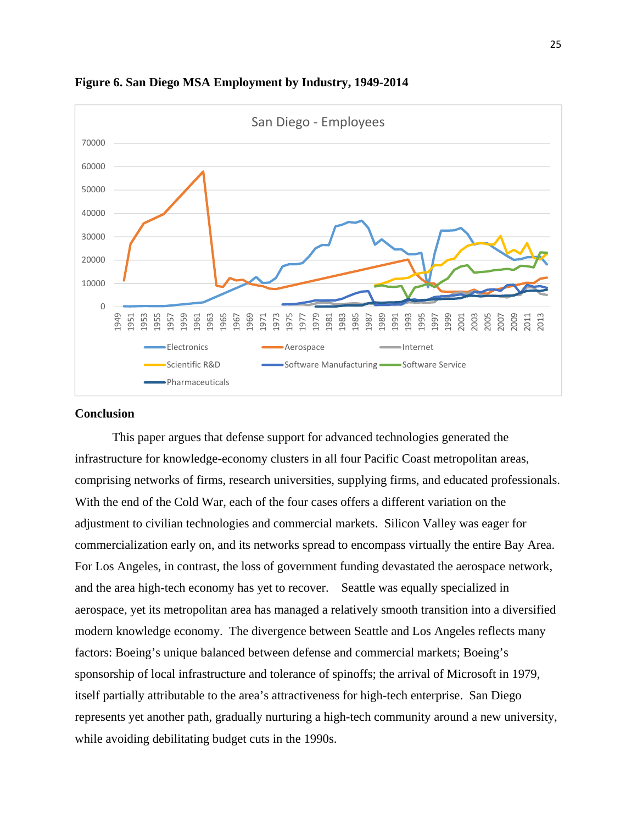

**Figure 6. San Diego MSA Employment by Industry, 1949-2014** 

#### **Conclusion**

This paper argues that defense support for advanced technologies generated the infrastructure for knowledge-economy clusters in all four Pacific Coast metropolitan areas, comprising networks of firms, research universities, supplying firms, and educated professionals. With the end of the Cold War, each of the four cases offers a different variation on the adjustment to civilian technologies and commercial markets. Silicon Valley was eager for commercialization early on, and its networks spread to encompass virtually the entire Bay Area. For Los Angeles, in contrast, the loss of government funding devastated the aerospace network, and the area high-tech economy has yet to recover. Seattle was equally specialized in aerospace, yet its metropolitan area has managed a relatively smooth transition into a diversified modern knowledge economy. The divergence between Seattle and Los Angeles reflects many factors: Boeing's unique balanced between defense and commercial markets; Boeing's sponsorship of local infrastructure and tolerance of spinoffs; the arrival of Microsoft in 1979, itself partially attributable to the area's attractiveness for high-tech enterprise. San Diego represents yet another path, gradually nurturing a high-tech community around a new university, while avoiding debilitating budget cuts in the 1990s.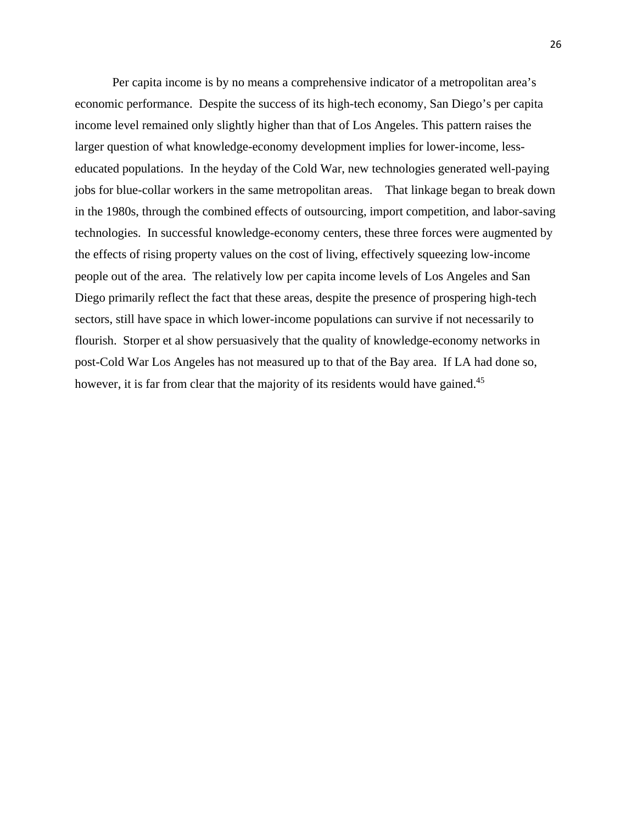Per capita income is by no means a comprehensive indicator of a metropolitan area's economic performance. Despite the success of its high-tech economy, San Diego's per capita income level remained only slightly higher than that of Los Angeles. This pattern raises the larger question of what knowledge-economy development implies for lower-income, lesseducated populations. In the heyday of the Cold War, new technologies generated well-paying jobs for blue-collar workers in the same metropolitan areas. That linkage began to break down in the 1980s, through the combined effects of outsourcing, import competition, and labor-saving technologies. In successful knowledge-economy centers, these three forces were augmented by the effects of rising property values on the cost of living, effectively squeezing low-income people out of the area. The relatively low per capita income levels of Los Angeles and San Diego primarily reflect the fact that these areas, despite the presence of prospering high-tech sectors, still have space in which lower-income populations can survive if not necessarily to flourish. Storper et al show persuasively that the quality of knowledge-economy networks in post-Cold War Los Angeles has not measured up to that of the Bay area. If LA had done so, however, it is far from clear that the majority of its residents would have gained.<sup>45</sup>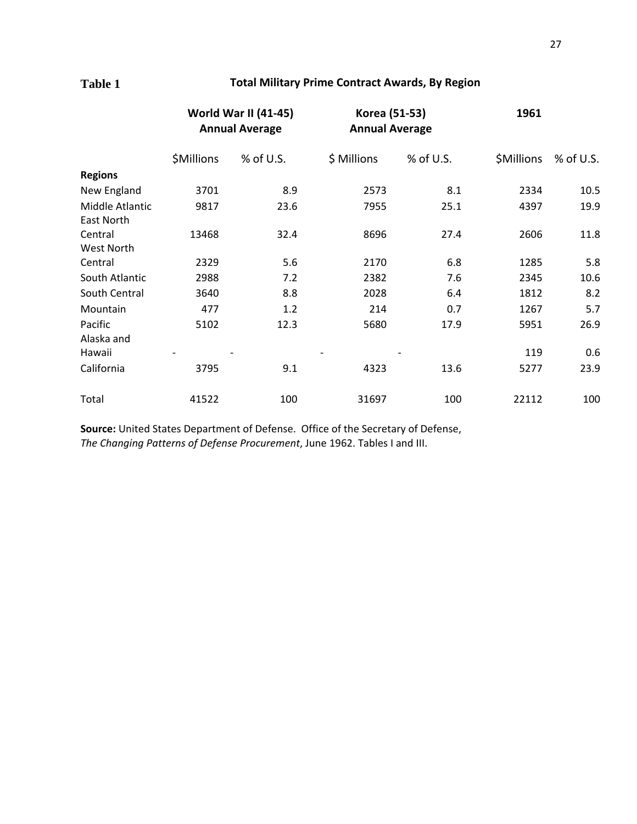## **Table 1 Total Military Prime Contract Awards, By Region**

|                               | <b>World War II (41-45)</b><br><b>Annual Average</b> |           | Korea (51-53)<br><b>Annual Average</b> |           | 1961       |             |
|-------------------------------|------------------------------------------------------|-----------|----------------------------------------|-----------|------------|-------------|
|                               | \$Millions                                           | % of U.S. | \$ Millions                            | % of U.S. | \$Millions | $%$ of U.S. |
| <b>Regions</b>                |                                                      |           |                                        |           |            |             |
| New England                   | 3701                                                 | 8.9       | 2573                                   | 8.1       | 2334       | 10.5        |
| Middle Atlantic<br>East North | 9817                                                 | 23.6      | 7955                                   | 25.1      | 4397       | 19.9        |
| Central                       | 13468                                                | 32.4      | 8696                                   | 27.4      | 2606       | 11.8        |
| West North                    |                                                      |           |                                        |           |            |             |
| Central                       | 2329                                                 | 5.6       | 2170                                   | 6.8       | 1285       | 5.8         |
| South Atlantic                | 2988                                                 | 7.2       | 2382                                   | 7.6       | 2345       | 10.6        |
| South Central                 | 3640                                                 | 8.8       | 2028                                   | 6.4       | 1812       | 8.2         |
| Mountain                      | 477                                                  | 1.2       | 214                                    | 0.7       | 1267       | 5.7         |
| Pacific                       | 5102                                                 | 12.3      | 5680                                   | 17.9      | 5951       | 26.9        |
| Alaska and                    |                                                      |           |                                        |           |            |             |
| Hawaii                        |                                                      |           |                                        |           | 119        | 0.6         |
| California                    | 3795                                                 | 9.1       | 4323                                   | 13.6      | 5277       | 23.9        |
| Total                         | 41522                                                | 100       | 31697                                  | 100       | 22112      | 100         |

**Source:** United States Department of Defense. Office of the Secretary of Defense, *The Changing Patterns of Defense Procurement*, June 1962. Tables I and III.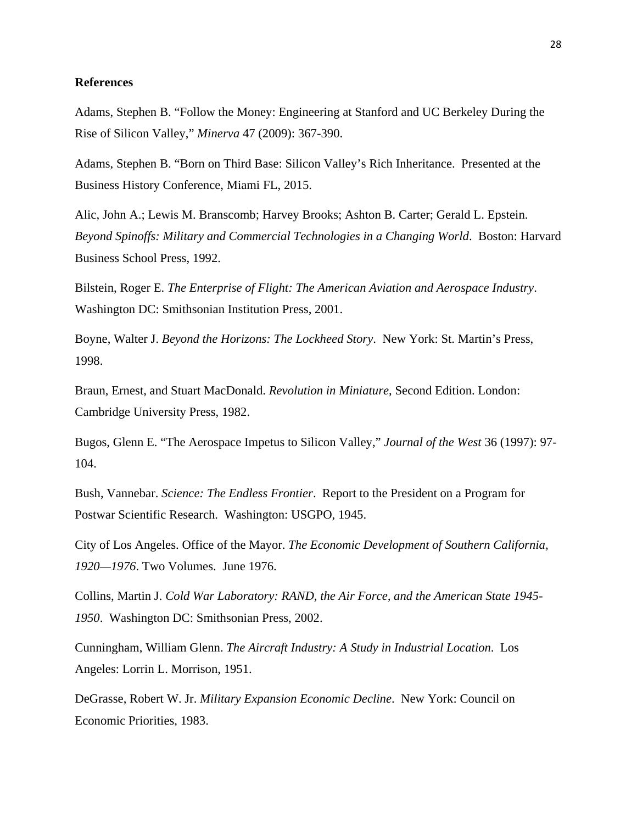### **References**

Adams, Stephen B. "Follow the Money: Engineering at Stanford and UC Berkeley During the Rise of Silicon Valley," *Minerva* 47 (2009): 367-390.

Adams, Stephen B. "Born on Third Base: Silicon Valley's Rich Inheritance. Presented at the Business History Conference, Miami FL, 2015.

Alic, John A.; Lewis M. Branscomb; Harvey Brooks; Ashton B. Carter; Gerald L. Epstein. *Beyond Spinoffs: Military and Commercial Technologies in a Changing World*. Boston: Harvard Business School Press, 1992.

Bilstein, Roger E. *The Enterprise of Flight: The American Aviation and Aerospace Industry*. Washington DC: Smithsonian Institution Press, 2001.

Boyne, Walter J. *Beyond the Horizons: The Lockheed Story*. New York: St. Martin's Press, 1998.

Braun, Ernest, and Stuart MacDonald. *Revolution in Miniature*, Second Edition. London: Cambridge University Press, 1982.

Bugos, Glenn E. "The Aerospace Impetus to Silicon Valley," *Journal of the West* 36 (1997): 97- 104.

Bush, Vannebar. *Science: The Endless Frontier*. Report to the President on a Program for Postwar Scientific Research. Washington: USGPO, 1945.

City of Los Angeles. Office of the Mayor. *The Economic Development of Southern California, 1920—1976*. Two Volumes. June 1976.

Collins, Martin J. *Cold War Laboratory: RAND, the Air Force, and the American State 1945- 1950*. Washington DC: Smithsonian Press, 2002.

Cunningham, William Glenn. *The Aircraft Industry: A Study in Industrial Location*. Los Angeles: Lorrin L. Morrison, 1951.

DeGrasse, Robert W. Jr. *Military Expansion Economic Decline*. New York: Council on Economic Priorities, 1983.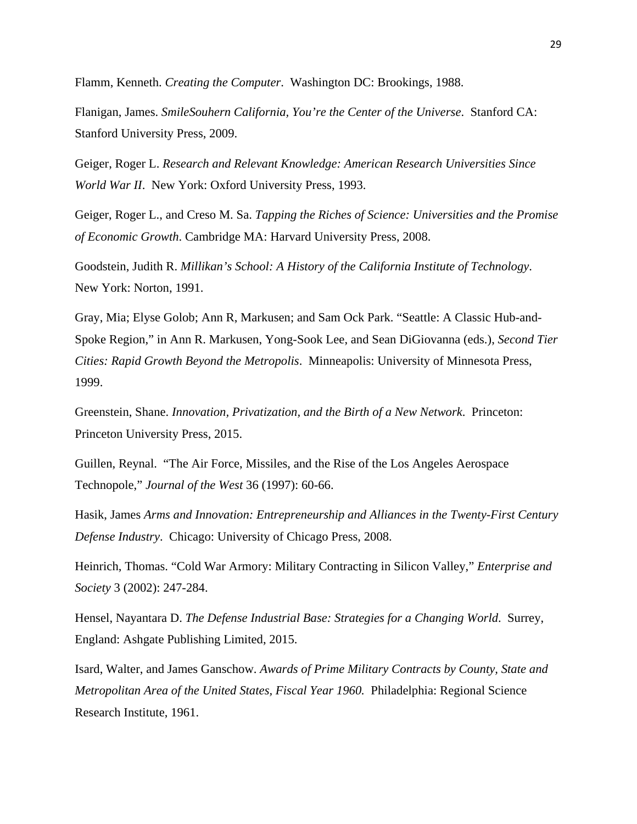Flamm, Kenneth. *Creating the Computer*. Washington DC: Brookings, 1988.

Flanigan, James. *SmileSouhern California, You're the Center of the Universe*. Stanford CA: Stanford University Press, 2009.

Geiger, Roger L. *Research and Relevant Knowledge: American Research Universities Since World War II*. New York: Oxford University Press, 1993.

Geiger, Roger L., and Creso M. Sa. *Tapping the Riches of Science: Universities and the Promise of Economic Growth*. Cambridge MA: Harvard University Press, 2008.

Goodstein, Judith R. *Millikan's School: A History of the California Institute of Technology*. New York: Norton, 1991.

Gray, Mia; Elyse Golob; Ann R, Markusen; and Sam Ock Park. "Seattle: A Classic Hub-and-Spoke Region," in Ann R. Markusen, Yong-Sook Lee, and Sean DiGiovanna (eds.), *Second Tier Cities: Rapid Growth Beyond the Metropolis*. Minneapolis: University of Minnesota Press, 1999.

Greenstein, Shane. *Innovation, Privatization, and the Birth of a New Network*. Princeton: Princeton University Press, 2015.

Guillen, Reynal. "The Air Force, Missiles, and the Rise of the Los Angeles Aerospace Technopole," *Journal of the West* 36 (1997): 60-66.

Hasik, James *Arms and Innovation: Entrepreneurship and Alliances in the Twenty-First Century Defense Industry*. Chicago: University of Chicago Press, 2008.

Heinrich, Thomas. "Cold War Armory: Military Contracting in Silicon Valley," *Enterprise and Society* 3 (2002): 247-284.

Hensel, Nayantara D. *The Defense Industrial Base: Strategies for a Changing World*. Surrey, England: Ashgate Publishing Limited, 2015.

Isard, Walter, and James Ganschow. *Awards of Prime Military Contracts by County, State and Metropolitan Area of the United States, Fiscal Year 1960.* Philadelphia: Regional Science Research Institute, 1961.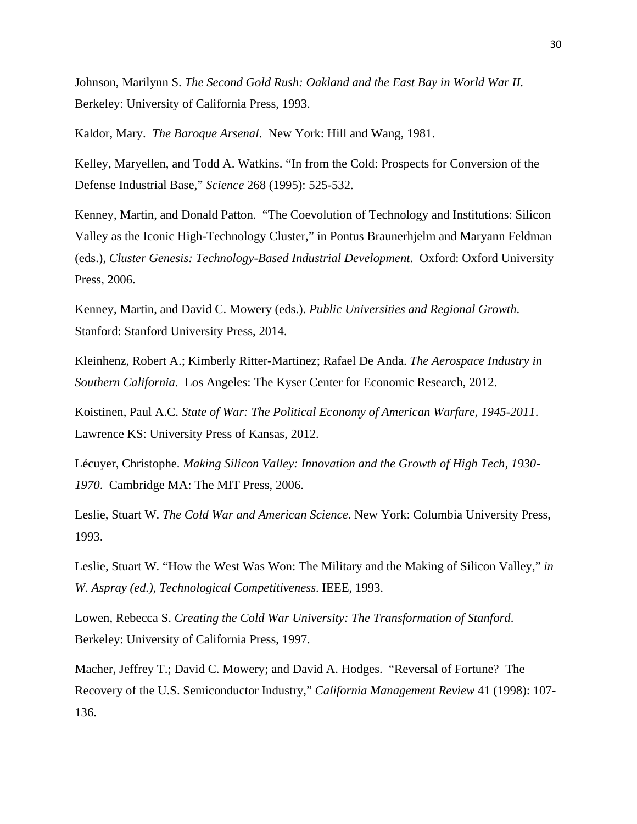Johnson, Marilynn S. *The Second Gold Rush: Oakland and the East Bay in World War II.*  Berkeley: University of California Press, 1993.

Kaldor, Mary. *The Baroque Arsenal*. New York: Hill and Wang, 1981.

Kelley, Maryellen, and Todd A. Watkins. "In from the Cold: Prospects for Conversion of the Defense Industrial Base," *Science* 268 (1995): 525-532.

Kenney, Martin, and Donald Patton. "The Coevolution of Technology and Institutions: Silicon Valley as the Iconic High-Technology Cluster," in Pontus Braunerhjelm and Maryann Feldman (eds.), *Cluster Genesis: Technology-Based Industrial Development*. Oxford: Oxford University Press, 2006.

Kenney, Martin, and David C. Mowery (eds.). *Public Universities and Regional Growth*. Stanford: Stanford University Press, 2014.

Kleinhenz, Robert A.; Kimberly Ritter-Martinez; Rafael De Anda. *The Aerospace Industry in Southern California*. Los Angeles: The Kyser Center for Economic Research, 2012.

Koistinen, Paul A.C. *State of War: The Political Economy of American Warfare, 1945-2011*. Lawrence KS: University Press of Kansas, 2012.

Lécuyer, Christophe. *Making Silicon Valley: Innovation and the Growth of High Tech, 1930- 1970*. Cambridge MA: The MIT Press, 2006.

Leslie, Stuart W. *The Cold War and American Science*. New York: Columbia University Press, 1993.

Leslie, Stuart W. "How the West Was Won: The Military and the Making of Silicon Valley," *in W. Aspray (ed.), Technological Competitiveness*. IEEE, 1993.

Lowen, Rebecca S. *Creating the Cold War University: The Transformation of Stanford*. Berkeley: University of California Press, 1997.

Macher, Jeffrey T.; David C. Mowery; and David A. Hodges. "Reversal of Fortune? The Recovery of the U.S. Semiconductor Industry," *California Management Review* 41 (1998): 107- 136.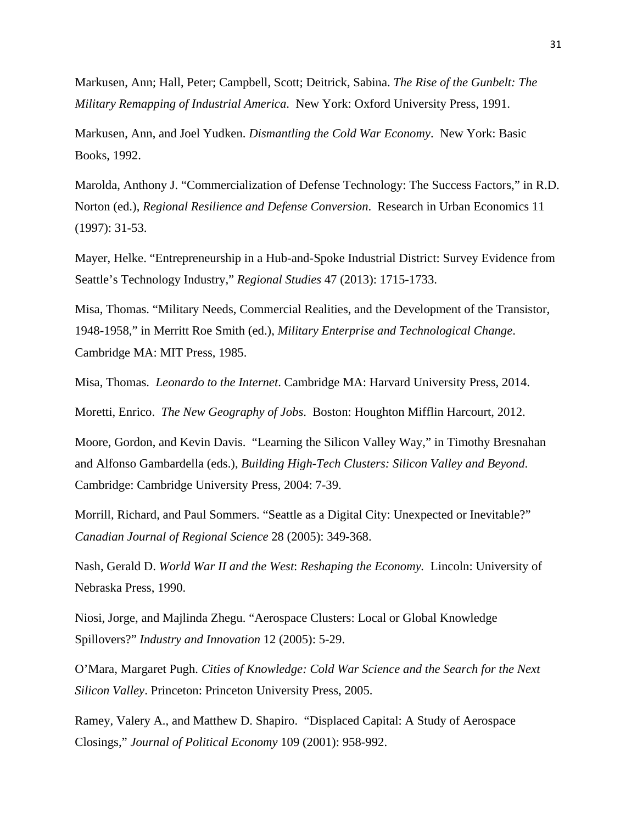Markusen, Ann; Hall, Peter; Campbell, Scott; Deitrick, Sabina. *The Rise of the Gunbelt: The Military Remapping of Industrial America*. New York: Oxford University Press, 1991.

Markusen, Ann, and Joel Yudken. *Dismantling the Cold War Economy*. New York: Basic Books, 1992.

Marolda, Anthony J. "Commercialization of Defense Technology: The Success Factors," in R.D. Norton (ed.), *Regional Resilience and Defense Conversion*. Research in Urban Economics 11 (1997): 31-53.

Mayer, Helke. "Entrepreneurship in a Hub-and-Spoke Industrial District: Survey Evidence from Seattle's Technology Industry," *Regional Studies* 47 (2013): 1715-1733.

Misa, Thomas. "Military Needs, Commercial Realities, and the Development of the Transistor, 1948-1958," in Merritt Roe Smith (ed.), *Military Enterprise and Technological Change*. Cambridge MA: MIT Press, 1985.

Misa, Thomas. *Leonardo to the Internet*. Cambridge MA: Harvard University Press, 2014.

Moretti, Enrico. *The New Geography of Jobs*. Boston: Houghton Mifflin Harcourt, 2012.

Moore, Gordon, and Kevin Davis. "Learning the Silicon Valley Way," in Timothy Bresnahan and Alfonso Gambardella (eds.), *Building High-Tech Clusters: Silicon Valley and Beyond*. Cambridge: Cambridge University Press, 2004: 7-39.

Morrill, Richard, and Paul Sommers. "Seattle as a Digital City: Unexpected or Inevitable?" *Canadian Journal of Regional Science* 28 (2005): 349-368.

Nash, Gerald D. *World War II and the West*: *Reshaping the Economy.* Lincoln: University of Nebraska Press, 1990.

Niosi, Jorge, and Majlinda Zhegu. "Aerospace Clusters: Local or Global Knowledge Spillovers?" *Industry and Innovation* 12 (2005): 5-29.

O'Mara, Margaret Pugh. *Cities of Knowledge: Cold War Science and the Search for the Next Silicon Valley*. Princeton: Princeton University Press, 2005.

Ramey, Valery A., and Matthew D. Shapiro. "Displaced Capital: A Study of Aerospace Closings," *Journal of Political Economy* 109 (2001): 958-992.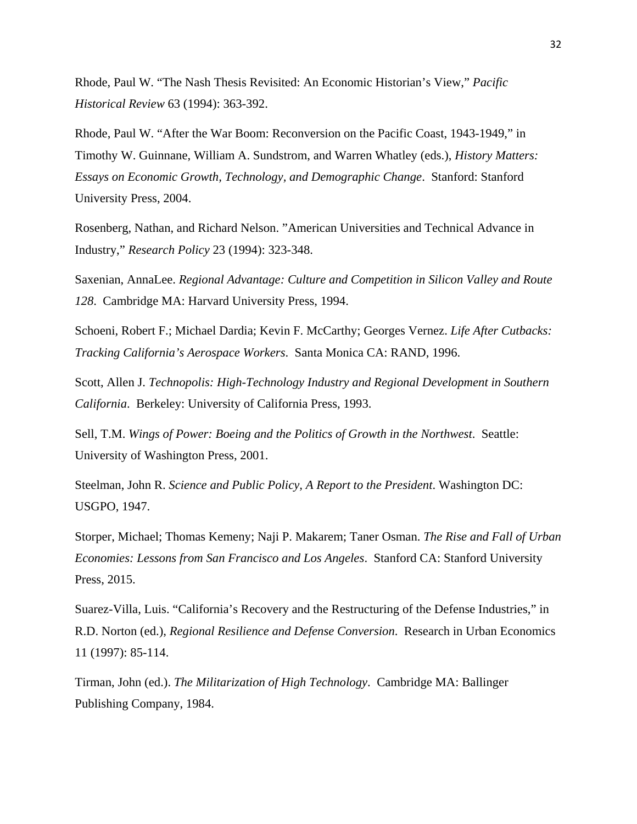Rhode, Paul W. "The Nash Thesis Revisited: An Economic Historian's View," *Pacific Historical Review* 63 (1994): 363-392.

Rhode, Paul W. "After the War Boom: Reconversion on the Pacific Coast, 1943-1949," in Timothy W. Guinnane, William A. Sundstrom, and Warren Whatley (eds.), *History Matters: Essays on Economic Growth, Technology, and Demographic Change*. Stanford: Stanford University Press, 2004.

Rosenberg, Nathan, and Richard Nelson. "American Universities and Technical Advance in Industry," *Research Policy* 23 (1994): 323-348.

Saxenian, AnnaLee. *Regional Advantage: Culture and Competition in Silicon Valley and Route 128*. Cambridge MA: Harvard University Press, 1994.

Schoeni, Robert F.; Michael Dardia; Kevin F. McCarthy; Georges Vernez. *Life After Cutbacks: Tracking California's Aerospace Workers*. Santa Monica CA: RAND, 1996.

Scott, Allen J. *Technopolis: High-Technology Industry and Regional Development in Southern California*. Berkeley: University of California Press, 1993.

Sell, T.M. *Wings of Power: Boeing and the Politics of Growth in the Northwest*. Seattle: University of Washington Press, 2001.

Steelman, John R. *Science and Public Policy, A Report to the President*. Washington DC: USGPO, 1947.

Storper, Michael; Thomas Kemeny; Naji P. Makarem; Taner Osman. *The Rise and Fall of Urban Economies: Lessons from San Francisco and Los Angeles*. Stanford CA: Stanford University Press, 2015.

Suarez-Villa, Luis. "California's Recovery and the Restructuring of the Defense Industries," in R.D. Norton (ed.), *Regional Resilience and Defense Conversion*. Research in Urban Economics 11 (1997): 85-114.

Tirman, John (ed.). *The Militarization of High Technology*. Cambridge MA: Ballinger Publishing Company, 1984.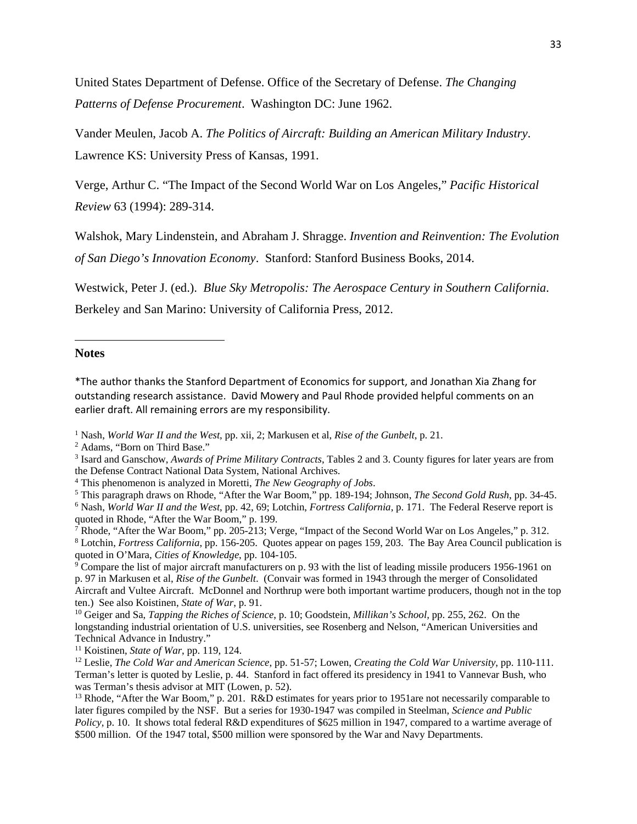United States Department of Defense. Office of the Secretary of Defense. *The Changing Patterns of Defense Procurement*. Washington DC: June 1962.

Vander Meulen, Jacob A. *The Politics of Aircraft: Building an American Military Industry*. Lawrence KS: University Press of Kansas, 1991.

Verge, Arthur C. "The Impact of the Second World War on Los Angeles," *Pacific Historical Review* 63 (1994): 289-314.

Walshok, Mary Lindenstein, and Abraham J. Shragge. *Invention and Reinvention: The Evolution of San Diego's Innovation Economy*. Stanford: Stanford Business Books, 2014.

Westwick, Peter J. (ed.). *Blue Sky Metropolis: The Aerospace Century in Southern California*.

Berkeley and San Marino: University of California Press, 2012.

#### **Notes**

\*The author thanks the Stanford Department of Economics for support, and Jonathan Xia Zhang for outstanding research assistance. David Mowery and Paul Rhode provided helpful comments on an earlier draft. All remaining errors are my responsibility.

<sup>2</sup> Adams, "Born on Third Base."

- 3 Isard and Ganschow, *Awards of Prime Military Contracts*, Tables 2 and 3. County figures for later years are from the Defense Contract National Data System, National Archives. 4
- This phenomenon is analyzed in Moretti, *The New Geography of Jobs*. 5
- This paragraph draws on Rhode, "After the War Boom," pp. 189-194; Johnson, *The Second Gold Rush*, pp. 34-45. 6

<sup>&</sup>lt;sup>1</sup> Nash, *World War II and the West*, pp. xii, 2; Markusen et al, *Rise of the Gunbelt*, p. 21. <sup>2</sup> Adams "Born on Third Base"

Nash, *World War II and the West*, pp. 42, 69; Lotchin, *Fortress California*, p. 171. The Federal Reserve report is quoted in Rhode, "After the War Boom," p. 199.

<sup>&</sup>lt;sup>7</sup> Rhode, "After the War Boom," pp. 205-213; Verge, "Impact of the Second World War on Los Angeles," p. 312. 8 Lotchin, *Fortress California*, pp. 156-205. Quotes appear on pages 159, 203. The Bay Area Council publication is quoted in O'Mara, *Cities of Knowledge*, pp. 104-105.<br><sup>9</sup> Compare the list of major aircraft manufacturers on p. 93 with the list of leading missile producers 1956-1961 on

p. 97 in Markusen et al, *Rise of the Gunbelt*. (Convair was formed in 1943 through the merger of Consolidated Aircraft and Vultee Aircraft. McDonnel and Northrup were both important wartime producers, though not in the top ten.) See also Koistinen, *State of War*, p. 91. 10 Geiger and Sa, *Tapping the Riches of Science*, p. 10; Goodstein, *Millikan's School,* pp. 255, 262. On the

longstanding industrial orientation of U.S. universities, see Rosenberg and Nelson, "American Universities and Technical Advance in Industry."

<sup>&</sup>lt;sup>11</sup> Koistinen, *State of War*, pp. 119, 124.<br><sup>12</sup> Leslie, *The Cold War and American Science*, pp. 51-57; Lowen, *Creating the Cold War University*, pp. 110-111. Terman's letter is quoted by Leslie, p. 44. Stanford in fact offered its presidency in 1941 to Vannevar Bush, who was Terman's thesis advisor at MIT (Lowen, p. 52).

<sup>&</sup>lt;sup>13</sup> Rhode, "After the War Boom," p. 201. R&D estimates for years prior to 1951are not necessarily comparable to later figures compiled by the NSF. But a series for 1930-1947 was compiled in Steelman, *Science and Public Policy*, p. 10. It shows total federal R&D expenditures of \$625 million in 1947, compared to a wartime average of \$500 million. Of the 1947 total, \$500 million were sponsored by the War and Navy Departments.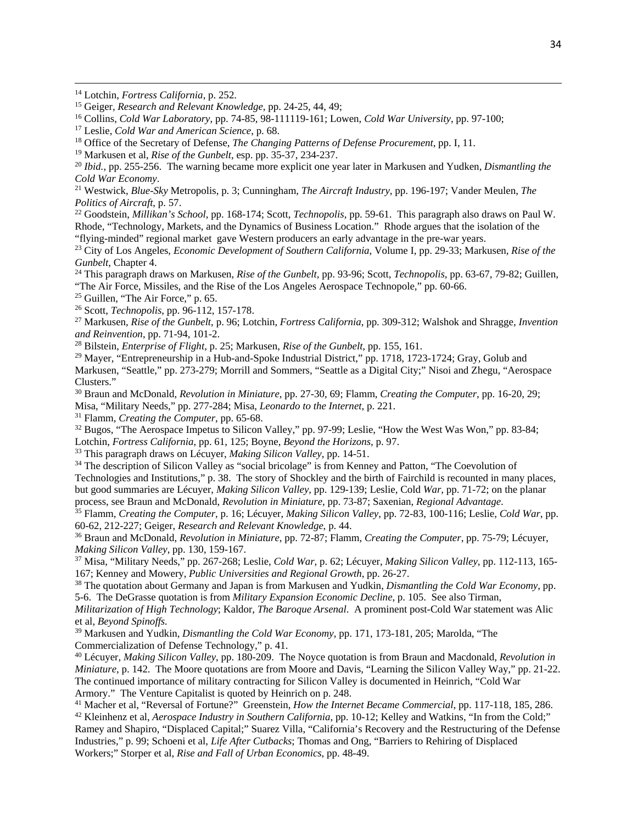<sup>14</sup> Lotchin, *Fortress California*, p. 252.<br><sup>15</sup> Geiger, *Research and Relevant Knowledge*, pp. 24-25, 44, 49;<br><sup>16</sup> Collins, *Cold War Laboratory*, pp. 74-85, 98-111119-161; Lowen, *Cold War University*, pp. 97-100;<br><sup>17</sup>

<sup>20</sup> Ibid., pp. 255-256. The warning became more explicit one year later in Markusen and Yudken, *Dismantling the* 

<u> 1989 - Johann Stoff, amerikansk politiker (d. 1989)</u>

*Cold War Economy*. 21 Westwick, *Blue-Sky* Metropolis, p. 3; Cunningham, *The Aircraft Industry*, pp. 196-197; Vander Meulen, *The* 

*Politics of Aircraft*, p. 57. 22 Goodstein, *Millikan's School*, pp. 168-174; Scott, *Technopolis*, pp. 59-61. This paragraph also draws on Paul W. Rhode, "Technology, Markets, and the Dynamics of Business Location." Rhode argues that the isolation of the "flying-minded" regional market gave Western producers an early advantage in the pre-war years.

23 City of Los Angeles, *Economic Development of Southern California*, Volume I, pp. 29-33; Markusen, *Rise of the Gunbelt*, Chapter 4.<br><sup>24</sup> This paragraph draws on Markusen, *Rise of the Gunbelt*, pp. 93-96; Scott, *Technopolis*, pp. 63-67, 79-82; Guillen,

"The Air Force, Missiles, and the Rise of the Los Angeles Aerospace Technopole," pp. 60-66.<br><sup>25</sup> Guillen, "The Air Force," p. 65.

26 Scott, *Technopolis*, pp. 96-112, 157-178. 27 Markusen, *Rise of the Gunbelt*, p. 96; Lotchin, *Fortress California*, pp. 309-312; Walshok and Shragge, *Invention* 

<sup>28</sup> Bilstein, *Enterprise of Flight*, p. 25; Markusen, *Rise of the Gunbelt*, pp. 155, 161.

<sup>29</sup> Mayer, "Entrepreneurship in a Hub-and-Spoke Industrial District," pp. 1718, 1723-1724; Gray, Golub and Markusen, "Seattle," pp. 273-279; Morrill and Sommers, "Seattle as a Digital City;" Nisoi and Zhegu, "Aerospace

Clusters."

<sup>30</sup> Braun and McDonald, *Revolution in Miniature*, pp. 27-30, 69; Flamm, *Creating the Computer*, pp. 16-20, 29; Misa, "Military Needs," pp. 277-284; Misa, *Leonardo to the Internet*, p. 221.

<sup>31</sup> Flamm, *Creating the Computer*, pp. 65-68.<br><sup>32</sup> Bugos, "The Aerospace Impetus to Silicon Valley," pp. 97-99; Leslie, "How the West Was Won," pp. 83-84; Lotchin, *Fortress California*, pp. 61, 125; Boyne, *Beyond the* 

 $33$  This paragraph draws on Lécuyer, *Making Silicon Valley*, pp. 14-51.<br><sup>34</sup> The description of Silicon Valley as "social bricolage" is from Kenney and Patton, "The Coevolution of Technologies and Institutions," p. 38. The story of Shockley and the birth of Fairchild is recounted in many places, but good summaries are Lécuyer, *Making Silicon Valley*, pp. 129-139; Leslie, Cold *War,* pp. 71-72; on the planar

<sup>35</sup> Flamm, Creating the Computer, p. 16; Lécuyer, Making Silicon Valley, pp. 72-83, 100-116; Leslie, Cold War, pp.

60-62, 212-227; Geiger, *Research and Relevant Knowledge*, p. 44. 36 Braun and McDonald, *Revolution in Miniature*, pp. 72-87; Flamm, *Creating the Computer*, pp. 75-79; Lécuyer,

<sup>37</sup> Misa, "Military Needs," pp. 267-268; Leslie, *Cold War*, p. 62; Lécuyer, *Making Silicon Valley*, pp. 112-113, 165-<br>167: Kenney and Mowery, *Public Universities and Regional Growth*, pp. 26-27.

<sup>38</sup> The quotation about Germany and Japan is from Markusen and Yudkin, *Dismantling the Cold War Economy*, pp. 5-6. The DeGrasse quotation is from *Military Expansion Economic Decline*, p. 105. See also Tirman, *Militarization of High Technology*; Kaldor, *The Baroque Arsenal*. A prominent post-Cold War statement was Alic et al, *Beyond Spinoffs.* 

39 Markusen and Yudkin, *Dismantling the Cold War Economy*, pp. 171, 173-181, 205; Marolda, "The Commercialization of Defense Technology," p. 41.

40 Lécuyer, *Making Silicon Valley*, pp. 180-209. The Noyce quotation is from Braun and Macdonald, *Revolution in Miniature*, p. 142. The Moore quotations are from Moore and Davis, "Learning the Silicon Valley Way," pp. 21-22. The continued importance of military contracting for Silicon Valley is documented in Heinrich, "Cold War Armory." The Venture Capitalist is quoted by Heinrich on p. 248.

<sup>41</sup> Macher et al, "Reversal of Fortune?" Greenstein, *How the Internet Became Commercial*, pp. 117-118, 185, 286.<br><sup>42</sup> Kleinhenz et al, *Aerospace Industry in Southern California*, pp. 10-12; Kelley and Watkins, "In from Ramey and Shapiro, "Displaced Capital;" Suarez Villa, "California's Recovery and the Restructuring of the Defense Industries," p. 99; Schoeni et al, *Life After Cutbacks*; Thomas and Ong, "Barriers to Rehiring of Displaced Workers;" Storper et al, *Rise and Fall of Urban Economics*, pp. 48-49.